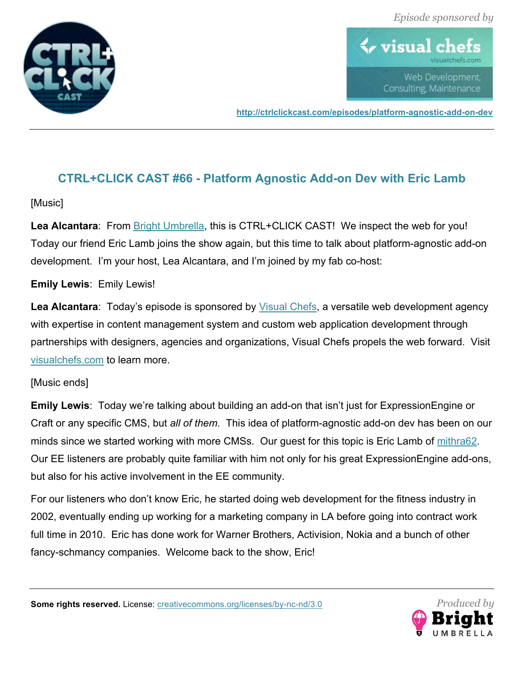



**http://ctrlclickcast.com/episodes/platform-agnostic-add-on-dev**

# **CTRL+CLICK CAST #66 - Platform Agnostic Add-on Dev with Eric Lamb**

# [Music]

**Lea Alcantara**: From Bright Umbrella, this is CTRL+CLICK CAST! We inspect the web for you! Today our friend Eric Lamb joins the show again, but this time to talk about platform-agnostic add-on development. I'm your host, Lea Alcantara, and I'm joined by my fab co-host:

# **Emily Lewis**: Emily Lewis!

Lea Alcantara: Today's episode is sponsored by *Visual Chefs*, a versatile web development agency with expertise in content management system and custom web application development through partnerships with designers, agencies and organizations, Visual Chefs propels the web forward. Visit visualchefs.com to learn more.

# [Music ends]

**Emily Lewis**: Today we're talking about building an add-on that isn't just for ExpressionEngine or Craft or any specific CMS, but *all of them*. This idea of platform-agnostic add-on dev has been on our minds since we started working with more CMSs. Our guest for this topic is Eric Lamb of mithra62. Our EE listeners are probably quite familiar with him not only for his great ExpressionEngine add-ons, but also for his active involvement in the EE community.

For our listeners who don't know Eric, he started doing web development for the fitness industry in 2002, eventually ending up working for a marketing company in LA before going into contract work full time in 2010. Eric has done work for Warner Brothers, Activision, Nokia and a bunch of other fancy-schmancy companies. Welcome back to the show, Eric!

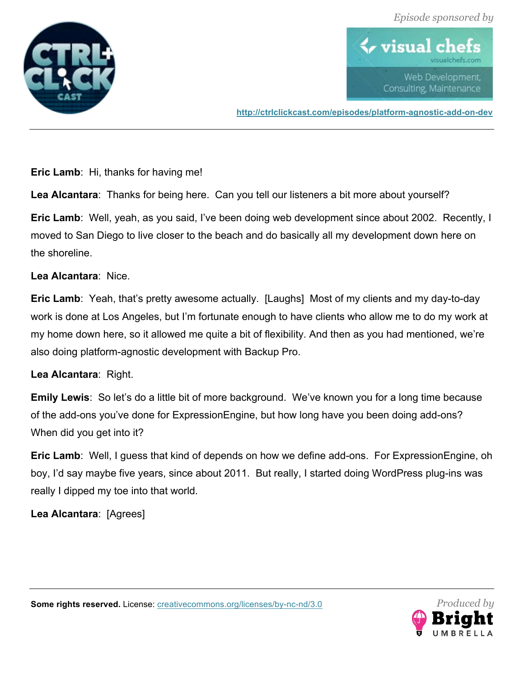



**http://ctrlclickcast.com/episodes/platform-agnostic-add-on-dev**

**Eric Lamb**: Hi, thanks for having me!

**Lea Alcantara**: Thanks for being here. Can you tell our listeners a bit more about yourself?

**Eric Lamb**: Well, yeah, as you said, I've been doing web development since about 2002. Recently, I moved to San Diego to live closer to the beach and do basically all my development down here on the shoreline.

#### **Lea Alcantara**: Nice.

**Eric Lamb**: Yeah, that's pretty awesome actually. [Laughs] Most of my clients and my day-to-day work is done at Los Angeles, but I'm fortunate enough to have clients who allow me to do my work at my home down here, so it allowed me quite a bit of flexibility. And then as you had mentioned, we're also doing platform-agnostic development with Backup Pro.

#### **Lea Alcantara**: Right.

**Emily Lewis**: So let's do a little bit of more background. We've known you for a long time because of the add-ons you've done for ExpressionEngine, but how long have you been doing add-ons? When did you get into it?

**Eric Lamb**: Well, I guess that kind of depends on how we define add-ons. For ExpressionEngine, oh boy, I'd say maybe five years, since about 2011. But really, I started doing WordPress plug-ins was really I dipped my toe into that world.

**Lea Alcantara**: [Agrees]

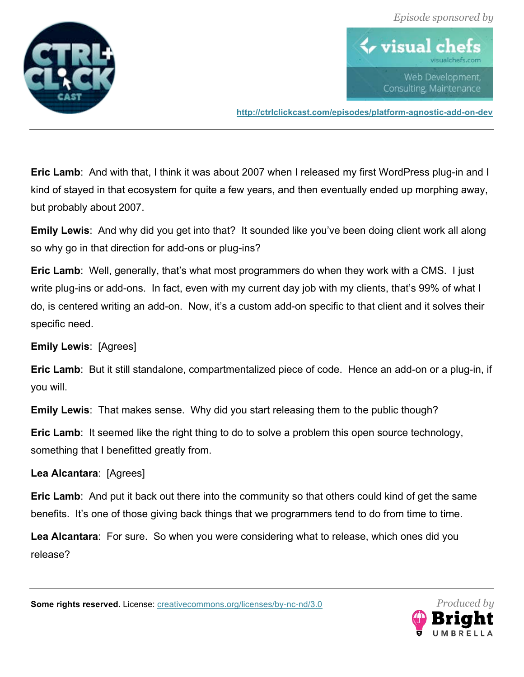



**http://ctrlclickcast.com/episodes/platform-agnostic-add-on-dev**

**Eric Lamb**: And with that, I think it was about 2007 when I released my first WordPress plug-in and I kind of stayed in that ecosystem for quite a few years, and then eventually ended up morphing away, but probably about 2007.

**Emily Lewis**: And why did you get into that? It sounded like you've been doing client work all along so why go in that direction for add-ons or plug-ins?

**Eric Lamb**: Well, generally, that's what most programmers do when they work with a CMS. I just write plug-ins or add-ons. In fact, even with my current day job with my clients, that's 99% of what I do, is centered writing an add-on. Now, it's a custom add-on specific to that client and it solves their specific need.

**Emily Lewis**: [Agrees]

**Eric Lamb**: But it still standalone, compartmentalized piece of code. Hence an add-on or a plug-in, if you will.

**Emily Lewis**: That makes sense. Why did you start releasing them to the public though?

**Eric Lamb**: It seemed like the right thing to do to solve a problem this open source technology, something that I benefitted greatly from.

# **Lea Alcantara**: [Agrees]

**Eric Lamb**: And put it back out there into the community so that others could kind of get the same benefits. It's one of those giving back things that we programmers tend to do from time to time.

**Lea Alcantara**: For sure. So when you were considering what to release, which ones did you release?

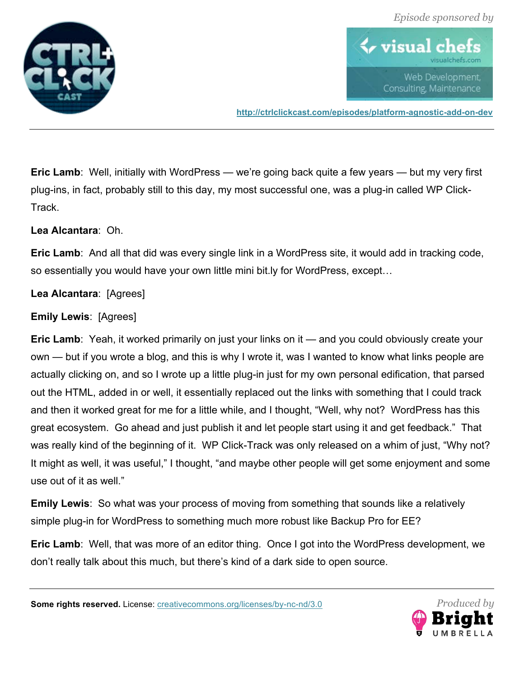



**http://ctrlclickcast.com/episodes/platform-agnostic-add-on-dev**

**Eric Lamb**: Well, initially with WordPress — we're going back quite a few years — but my very first plug-ins, in fact, probably still to this day, my most successful one, was a plug-in called WP Click-Track.

**Lea Alcantara**: Oh.

**Eric Lamb**: And all that did was every single link in a WordPress site, it would add in tracking code, so essentially you would have your own little mini bit.ly for WordPress, except…

**Lea Alcantara**: [Agrees]

#### **Emily Lewis**: [Agrees]

**Eric Lamb**: Yeah, it worked primarily on just your links on it — and you could obviously create your own — but if you wrote a blog, and this is why I wrote it, was I wanted to know what links people are actually clicking on, and so I wrote up a little plug-in just for my own personal edification, that parsed out the HTML, added in or well, it essentially replaced out the links with something that I could track and then it worked great for me for a little while, and I thought, "Well, why not? WordPress has this great ecosystem. Go ahead and just publish it and let people start using it and get feedback." That was really kind of the beginning of it. WP Click-Track was only released on a whim of just, "Why not? It might as well, it was useful," I thought, "and maybe other people will get some enjoyment and some use out of it as well."

**Emily Lewis**: So what was your process of moving from something that sounds like a relatively simple plug-in for WordPress to something much more robust like Backup Pro for EE?

**Eric Lamb**: Well, that was more of an editor thing. Once I got into the WordPress development, we don't really talk about this much, but there's kind of a dark side to open source.

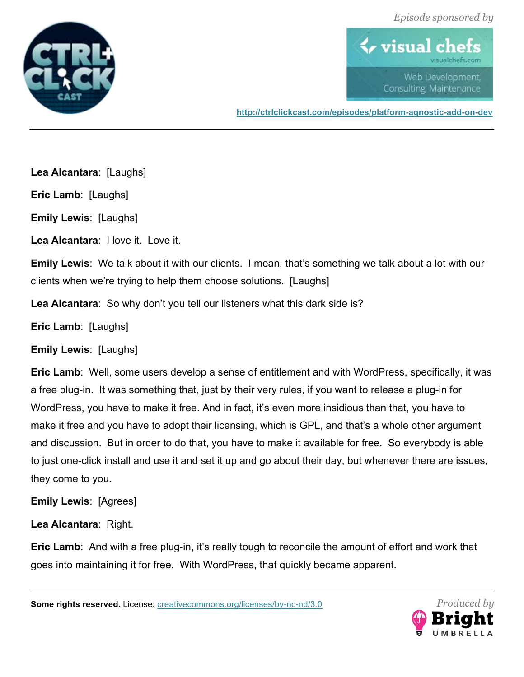



**http://ctrlclickcast.com/episodes/platform-agnostic-add-on-dev**

**Lea Alcantara**: [Laughs]

**Eric Lamb**: [Laughs]

**Emily Lewis**: [Laughs]

**Lea Alcantara**: I love it. Love it.

**Emily Lewis**: We talk about it with our clients. I mean, that's something we talk about a lot with our clients when we're trying to help them choose solutions. [Laughs]

**Lea Alcantara**: So why don't you tell our listeners what this dark side is?

**Eric Lamb**: [Laughs]

**Emily Lewis**: [Laughs]

**Eric Lamb**: Well, some users develop a sense of entitlement and with WordPress, specifically, it was a free plug-in. It was something that, just by their very rules, if you want to release a plug-in for WordPress, you have to make it free. And in fact, it's even more insidious than that, you have to make it free and you have to adopt their licensing, which is GPL, and that's a whole other argument and discussion. But in order to do that, you have to make it available for free. So everybody is able to just one-click install and use it and set it up and go about their day, but whenever there are issues, they come to you.

**Emily Lewis**: [Agrees]

**Lea Alcantara**: Right.

**Eric Lamb**: And with a free plug-in, it's really tough to reconcile the amount of effort and work that goes into maintaining it for free. With WordPress, that quickly became apparent.

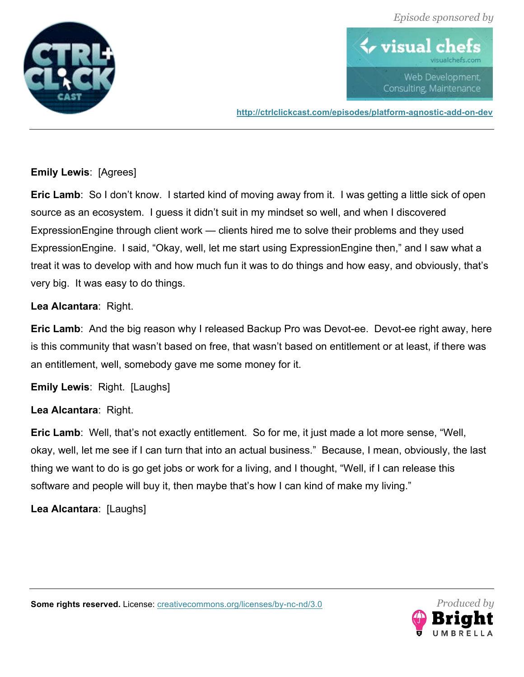



**http://ctrlclickcast.com/episodes/platform-agnostic-add-on-dev**

# **Emily Lewis**: [Agrees]

**Eric Lamb**: So I don't know. I started kind of moving away from it. I was getting a little sick of open source as an ecosystem. I guess it didn't suit in my mindset so well, and when I discovered ExpressionEngine through client work — clients hired me to solve their problems and they used ExpressionEngine. I said, "Okay, well, let me start using ExpressionEngine then," and I saw what a treat it was to develop with and how much fun it was to do things and how easy, and obviously, that's very big. It was easy to do things.

#### **Lea Alcantara**: Right.

**Eric Lamb**: And the big reason why I released Backup Pro was Devot-ee. Devot-ee right away, here is this community that wasn't based on free, that wasn't based on entitlement or at least, if there was an entitlement, well, somebody gave me some money for it.

**Emily Lewis**: Right. [Laughs]

# **Lea Alcantara**: Right.

**Eric Lamb**: Well, that's not exactly entitlement. So for me, it just made a lot more sense, "Well, okay, well, let me see if I can turn that into an actual business." Because, I mean, obviously, the last thing we want to do is go get jobs or work for a living, and I thought, "Well, if I can release this software and people will buy it, then maybe that's how I can kind of make my living."

**Lea Alcantara**: [Laughs]

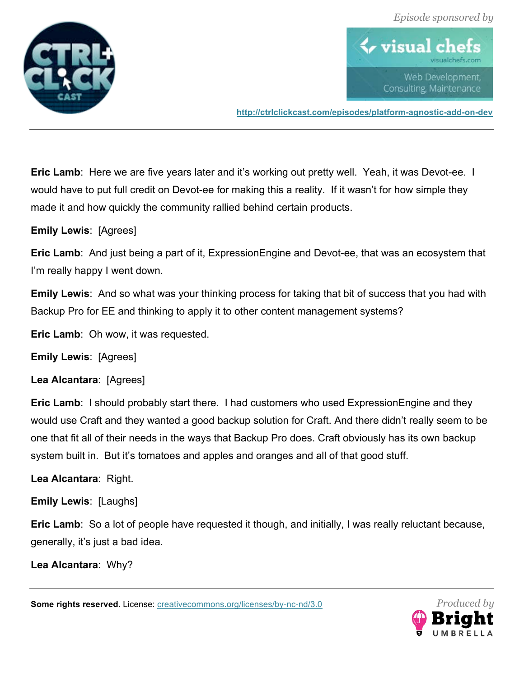



**http://ctrlclickcast.com/episodes/platform-agnostic-add-on-dev**

**Eric Lamb**: Here we are five years later and it's working out pretty well. Yeah, it was Devot-ee. I would have to put full credit on Devot-ee for making this a reality. If it wasn't for how simple they made it and how quickly the community rallied behind certain products.

**Emily Lewis**: [Agrees]

**Eric Lamb**: And just being a part of it, ExpressionEngine and Devot-ee, that was an ecosystem that I'm really happy I went down.

**Emily Lewis**: And so what was your thinking process for taking that bit of success that you had with Backup Pro for EE and thinking to apply it to other content management systems?

**Eric Lamb**: Oh wow, it was requested.

**Emily Lewis**: [Agrees]

**Lea Alcantara**: [Agrees]

**Eric Lamb**: I should probably start there. I had customers who used ExpressionEngine and they would use Craft and they wanted a good backup solution for Craft. And there didn't really seem to be one that fit all of their needs in the ways that Backup Pro does. Craft obviously has its own backup system built in. But it's tomatoes and apples and oranges and all of that good stuff.

**Lea Alcantara**: Right.

**Emily Lewis**: [Laughs]

**Eric Lamb**: So a lot of people have requested it though, and initially, I was really reluctant because, generally, it's just a bad idea.

**Lea Alcantara**: Why?

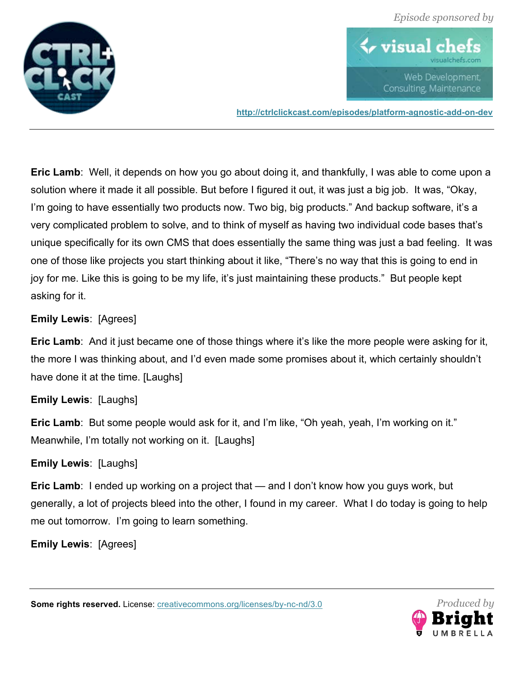



**http://ctrlclickcast.com/episodes/platform-agnostic-add-on-dev**

**Eric Lamb**: Well, it depends on how you go about doing it, and thankfully, I was able to come upon a solution where it made it all possible. But before I figured it out, it was just a big job. It was, "Okay, I'm going to have essentially two products now. Two big, big products." And backup software, it's a very complicated problem to solve, and to think of myself as having two individual code bases that's unique specifically for its own CMS that does essentially the same thing was just a bad feeling. It was one of those like projects you start thinking about it like, "There's no way that this is going to end in joy for me. Like this is going to be my life, it's just maintaining these products." But people kept asking for it.

# **Emily Lewis**: [Agrees]

**Eric Lamb**: And it just became one of those things where it's like the more people were asking for it, the more I was thinking about, and I'd even made some promises about it, which certainly shouldn't have done it at the time. [Laughs]

# **Emily Lewis**: [Laughs]

**Eric Lamb**: But some people would ask for it, and I'm like, "Oh yeah, yeah, I'm working on it." Meanwhile, I'm totally not working on it. [Laughs]

# **Emily Lewis**: [Laughs]

**Eric Lamb**: I ended up working on a project that — and I don't know how you guys work, but generally, a lot of projects bleed into the other, I found in my career. What I do today is going to help me out tomorrow. I'm going to learn something.

**Emily Lewis**: [Agrees]

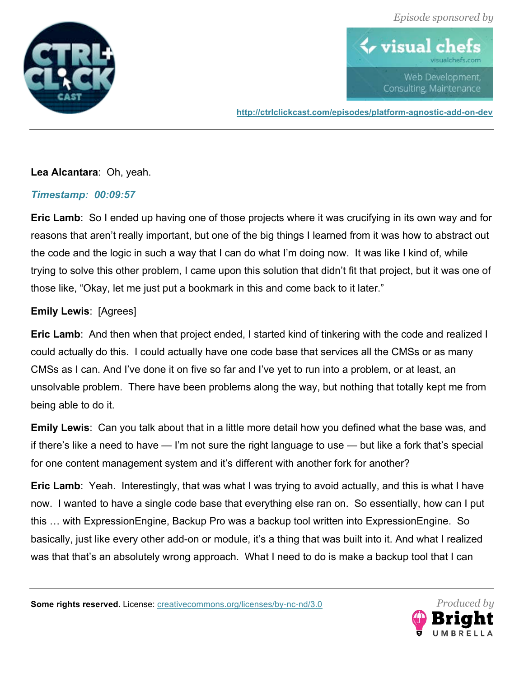

# $\blacklozenge$  visual  $\mathfrak c$ Web Development. Consulting, Maintenance

**http://ctrlclickcast.com/episodes/platform-agnostic-add-on-dev**

# **Lea Alcantara**: Oh, yeah.

# *Timestamp: 00:09:57*

**Eric Lamb**: So I ended up having one of those projects where it was crucifying in its own way and for reasons that aren't really important, but one of the big things I learned from it was how to abstract out the code and the logic in such a way that I can do what I'm doing now. It was like I kind of, while trying to solve this other problem, I came upon this solution that didn't fit that project, but it was one of those like, "Okay, let me just put a bookmark in this and come back to it later."

# **Emily Lewis**: [Agrees]

**Eric Lamb**: And then when that project ended, I started kind of tinkering with the code and realized I could actually do this. I could actually have one code base that services all the CMSs or as many CMSs as I can. And I've done it on five so far and I've yet to run into a problem, or at least, an unsolvable problem. There have been problems along the way, but nothing that totally kept me from being able to do it.

**Emily Lewis**: Can you talk about that in a little more detail how you defined what the base was, and if there's like a need to have — I'm not sure the right language to use — but like a fork that's special for one content management system and it's different with another fork for another?

**Eric Lamb**: Yeah. Interestingly, that was what I was trying to avoid actually, and this is what I have now. I wanted to have a single code base that everything else ran on. So essentially, how can I put this … with ExpressionEngine, Backup Pro was a backup tool written into ExpressionEngine. So basically, just like every other add-on or module, it's a thing that was built into it. And what I realized was that that's an absolutely wrong approach. What I need to do is make a backup tool that I can

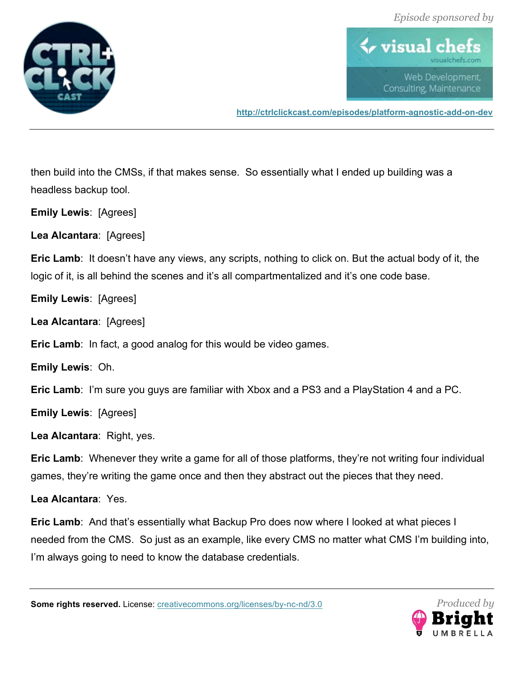



**http://ctrlclickcast.com/episodes/platform-agnostic-add-on-dev**

then build into the CMSs, if that makes sense. So essentially what I ended up building was a headless backup tool.

**Emily Lewis**: [Agrees]

**Lea Alcantara**: [Agrees]

**Eric Lamb**: It doesn't have any views, any scripts, nothing to click on. But the actual body of it, the logic of it, is all behind the scenes and it's all compartmentalized and it's one code base.

**Emily Lewis**: [Agrees]

**Lea Alcantara**: [Agrees]

**Eric Lamb**: In fact, a good analog for this would be video games.

**Emily Lewis**: Oh.

**Eric Lamb**: I'm sure you guys are familiar with Xbox and a PS3 and a PlayStation 4 and a PC.

**Emily Lewis**: [Agrees]

**Lea Alcantara**: Right, yes.

**Eric Lamb:** Whenever they write a game for all of those platforms, they're not writing four individual games, they're writing the game once and then they abstract out the pieces that they need.

**Lea Alcantara**: Yes.

**Eric Lamb**: And that's essentially what Backup Pro does now where I looked at what pieces I needed from the CMS. So just as an example, like every CMS no matter what CMS I'm building into, I'm always going to need to know the database credentials.

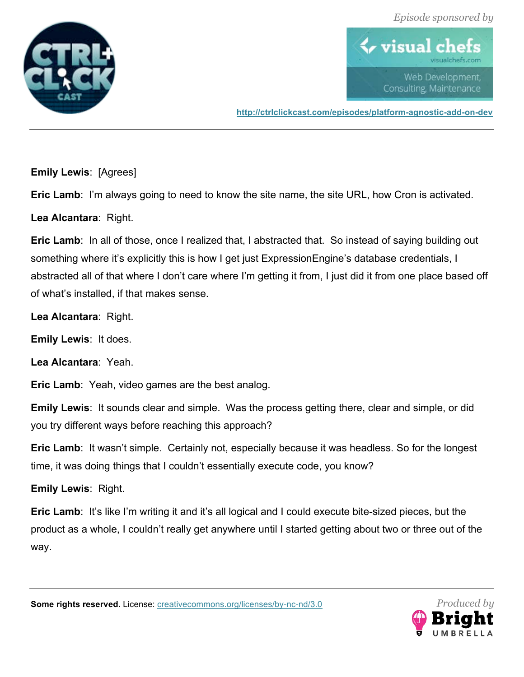



**http://ctrlclickcast.com/episodes/platform-agnostic-add-on-dev**

**Emily Lewis**: [Agrees]

**Eric Lamb**: I'm always going to need to know the site name, the site URL, how Cron is activated.

**Lea Alcantara**: Right.

**Eric Lamb:** In all of those, once I realized that, I abstracted that. So instead of saying building out something where it's explicitly this is how I get just ExpressionEngine's database credentials, I abstracted all of that where I don't care where I'm getting it from, I just did it from one place based off of what's installed, if that makes sense.

**Lea Alcantara**: Right.

**Emily Lewis**: It does.

**Lea Alcantara**: Yeah.

**Eric Lamb**: Yeah, video games are the best analog.

**Emily Lewis**: It sounds clear and simple. Was the process getting there, clear and simple, or did you try different ways before reaching this approach?

**Eric Lamb**: It wasn't simple. Certainly not, especially because it was headless. So for the longest time, it was doing things that I couldn't essentially execute code, you know?

**Emily Lewis**: Right.

**Eric Lamb:** It's like I'm writing it and it's all logical and I could execute bite-sized pieces, but the product as a whole, I couldn't really get anywhere until I started getting about two or three out of the way.

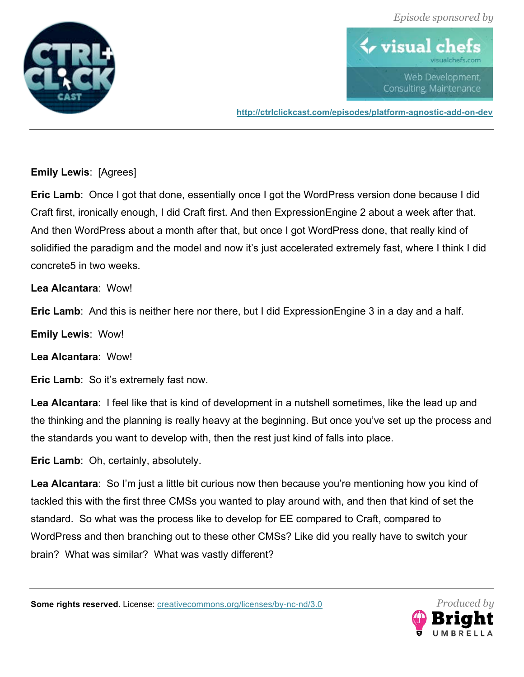



**http://ctrlclickcast.com/episodes/platform-agnostic-add-on-dev**

# **Emily Lewis**: [Agrees]

**Eric Lamb**: Once I got that done, essentially once I got the WordPress version done because I did Craft first, ironically enough, I did Craft first. And then ExpressionEngine 2 about a week after that. And then WordPress about a month after that, but once I got WordPress done, that really kind of solidified the paradigm and the model and now it's just accelerated extremely fast, where I think I did concrete5 in two weeks.

**Lea Alcantara**: Wow!

**Eric Lamb**: And this is neither here nor there, but I did ExpressionEngine 3 in a day and a half.

**Emily Lewis**: Wow!

**Lea Alcantara**: Wow!

**Eric Lamb**: So it's extremely fast now.

**Lea Alcantara**: I feel like that is kind of development in a nutshell sometimes, like the lead up and the thinking and the planning is really heavy at the beginning. But once you've set up the process and the standards you want to develop with, then the rest just kind of falls into place.

**Eric Lamb**: Oh, certainly, absolutely.

**Lea Alcantara**: So I'm just a little bit curious now then because you're mentioning how you kind of tackled this with the first three CMSs you wanted to play around with, and then that kind of set the standard. So what was the process like to develop for EE compared to Craft, compared to WordPress and then branching out to these other CMSs? Like did you really have to switch your brain? What was similar? What was vastly different?

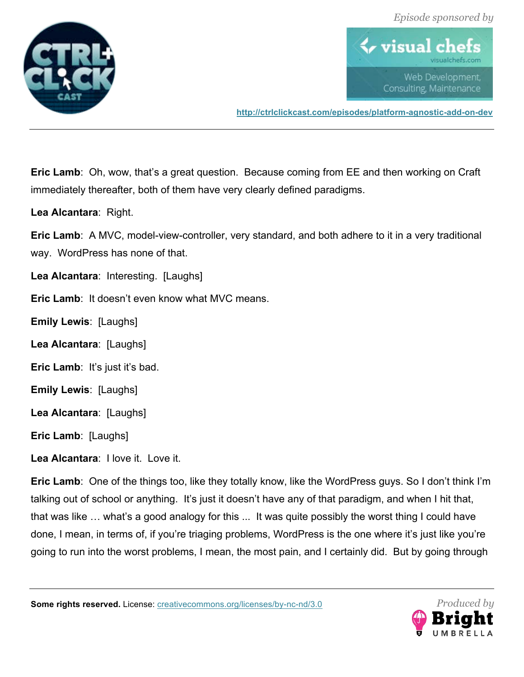



**http://ctrlclickcast.com/episodes/platform-agnostic-add-on-dev**

**Eric Lamb**: Oh, wow, that's a great question. Because coming from EE and then working on Craft immediately thereafter, both of them have very clearly defined paradigms.

**Lea Alcantara**: Right.

**Eric Lamb**: A MVC, model-view-controller, very standard, and both adhere to it in a very traditional way. WordPress has none of that.

**Lea Alcantara**: Interesting. [Laughs]

**Eric Lamb**: It doesn't even know what MVC means.

**Emily Lewis**: [Laughs]

**Lea Alcantara**: [Laughs]

**Eric Lamb**: It's just it's bad.

**Emily Lewis**: [Laughs]

**Lea Alcantara**: [Laughs]

**Eric Lamb**: [Laughs]

**Lea Alcantara**: I love it. Love it.

**Eric Lamb**: One of the things too, like they totally know, like the WordPress guys. So I don't think I'm talking out of school or anything. It's just it doesn't have any of that paradigm, and when I hit that, that was like … what's a good analogy for this ... It was quite possibly the worst thing I could have done, I mean, in terms of, if you're triaging problems, WordPress is the one where it's just like you're going to run into the worst problems, I mean, the most pain, and I certainly did. But by going through

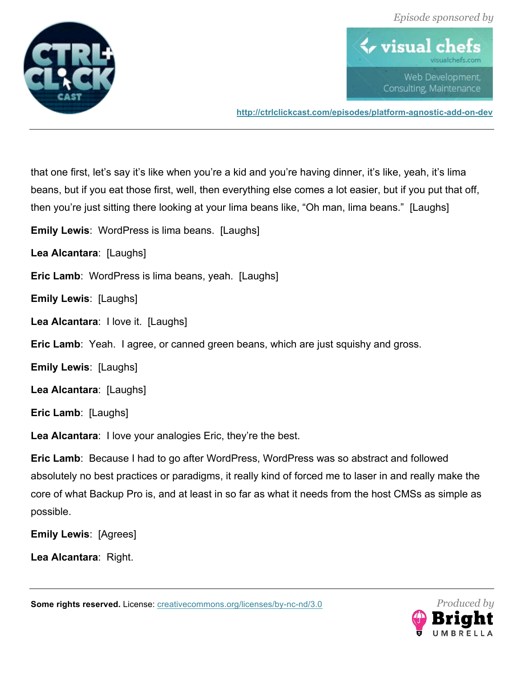



**http://ctrlclickcast.com/episodes/platform-agnostic-add-on-dev**

that one first, let's say it's like when you're a kid and you're having dinner, it's like, yeah, it's lima beans, but if you eat those first, well, then everything else comes a lot easier, but if you put that off, then you're just sitting there looking at your lima beans like, "Oh man, lima beans." [Laughs]

**Emily Lewis**: WordPress is lima beans. [Laughs]

**Lea Alcantara**: [Laughs]

**Eric Lamb:** WordPress is lima beans, yeah. [Laughs]

**Emily Lewis**: [Laughs]

**Lea Alcantara**: I love it. [Laughs]

**Eric Lamb**: Yeah. I agree, or canned green beans, which are just squishy and gross.

**Emily Lewis**: [Laughs]

**Lea Alcantara**: [Laughs]

**Eric Lamb**: [Laughs]

**Lea Alcantara**: I love your analogies Eric, they're the best.

**Eric Lamb**: Because I had to go after WordPress, WordPress was so abstract and followed absolutely no best practices or paradigms, it really kind of forced me to laser in and really make the core of what Backup Pro is, and at least in so far as what it needs from the host CMSs as simple as possible.

**Emily Lewis**: [Agrees]

**Lea Alcantara**: Right.

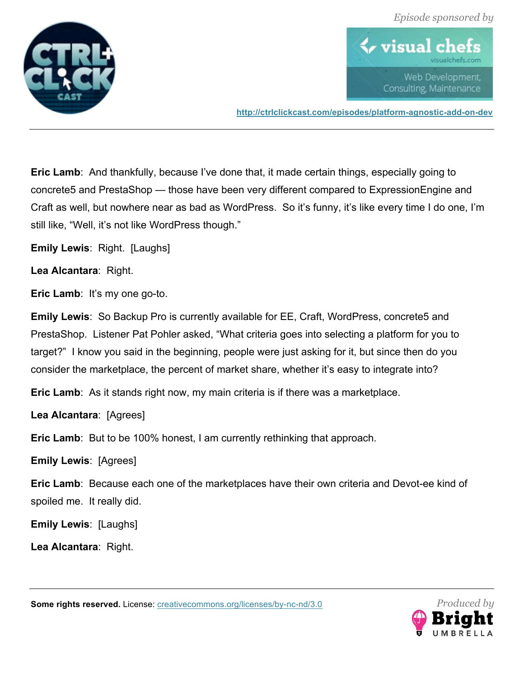



**http://ctrlclickcast.com/episodes/platform-agnostic-add-on-dev**

**Eric Lamb:** And thankfully, because I've done that, it made certain things, especially going to concrete5 and PrestaShop — those have been very different compared to ExpressionEngine and Craft as well, but nowhere near as bad as WordPress. So it's funny, it's like every time I do one, I'm still like, "Well, it's not like WordPress though."

**Emily Lewis**: Right. [Laughs]

**Lea Alcantara**: Right.

**Eric Lamb:** It's my one go-to.

**Emily Lewis**: So Backup Pro is currently available for EE, Craft, WordPress, concrete5 and PrestaShop. Listener Pat Pohler asked, "What criteria goes into selecting a platform for you to target?" I know you said in the beginning, people were just asking for it, but since then do you consider the marketplace, the percent of market share, whether it's easy to integrate into?

**Eric Lamb**: As it stands right now, my main criteria is if there was a marketplace.

**Lea Alcantara**: [Agrees]

**Eric Lamb**: But to be 100% honest, I am currently rethinking that approach.

**Emily Lewis**: [Agrees]

**Eric Lamb**: Because each one of the marketplaces have their own criteria and Devot-ee kind of spoiled me. It really did.

**Emily Lewis**: [Laughs]

**Lea Alcantara**: Right.

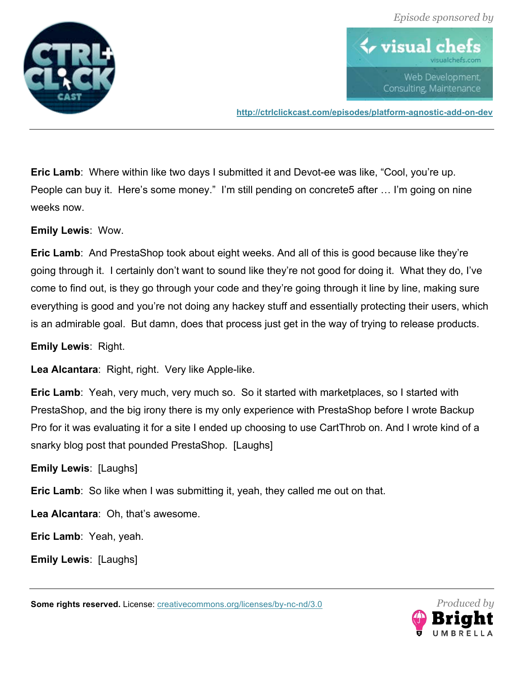



**http://ctrlclickcast.com/episodes/platform-agnostic-add-on-dev**

**Eric Lamb**: Where within like two days I submitted it and Devot-ee was like, "Cool, you're up. People can buy it. Here's some money." I'm still pending on concrete5 after … I'm going on nine weeks now.

**Emily Lewis**: Wow.

**Eric Lamb**: And PrestaShop took about eight weeks. And all of this is good because like they're going through it. I certainly don't want to sound like they're not good for doing it. What they do, I've come to find out, is they go through your code and they're going through it line by line, making sure everything is good and you're not doing any hackey stuff and essentially protecting their users, which is an admirable goal. But damn, does that process just get in the way of trying to release products.

**Emily Lewis**: Right.

**Lea Alcantara**: Right, right. Very like Apple-like.

**Eric Lamb**: Yeah, very much, very much so. So it started with marketplaces, so I started with PrestaShop, and the big irony there is my only experience with PrestaShop before I wrote Backup Pro for it was evaluating it for a site I ended up choosing to use CartThrob on. And I wrote kind of a snarky blog post that pounded PrestaShop. [Laughs]

**Emily Lewis**: [Laughs]

**Eric Lamb:** So like when I was submitting it, yeah, they called me out on that.

**Lea Alcantara**: Oh, that's awesome.

**Eric Lamb**: Yeah, yeah.

**Emily Lewis**: [Laughs]

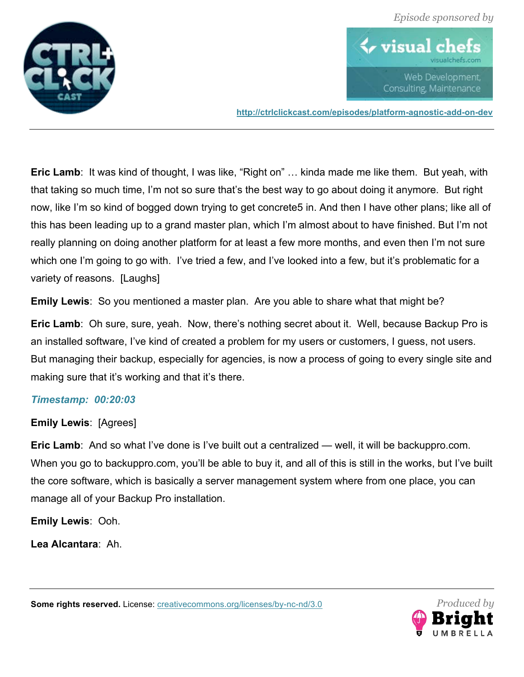



**http://ctrlclickcast.com/episodes/platform-agnostic-add-on-dev**

**Eric Lamb**: It was kind of thought, I was like, "Right on" … kinda made me like them. But yeah, with that taking so much time, I'm not so sure that's the best way to go about doing it anymore. But right now, like I'm so kind of bogged down trying to get concrete5 in. And then I have other plans; like all of this has been leading up to a grand master plan, which I'm almost about to have finished. But I'm not really planning on doing another platform for at least a few more months, and even then I'm not sure which one I'm going to go with. I've tried a few, and I've looked into a few, but it's problematic for a variety of reasons. [Laughs]

**Emily Lewis**: So you mentioned a master plan. Are you able to share what that might be?

**Eric Lamb**: Oh sure, sure, yeah. Now, there's nothing secret about it. Well, because Backup Pro is an installed software, I've kind of created a problem for my users or customers, I guess, not users. But managing their backup, especially for agencies, is now a process of going to every single site and making sure that it's working and that it's there.

# *Timestamp: 00:20:03*

# **Emily Lewis**: [Agrees]

**Eric Lamb**: And so what I've done is I've built out a centralized — well, it will be backuppro.com. When you go to backuppro.com, you'll be able to buy it, and all of this is still in the works, but I've built the core software, which is basically a server management system where from one place, you can manage all of your Backup Pro installation.

**Emily Lewis**: Ooh.

**Lea Alcantara**: Ah.

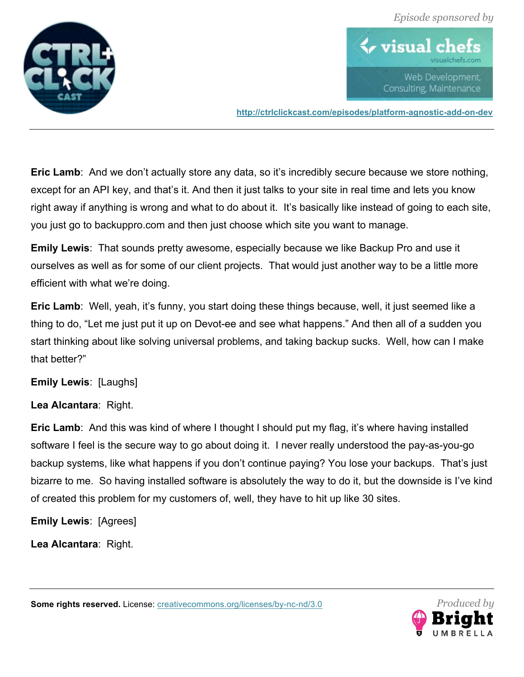



**http://ctrlclickcast.com/episodes/platform-agnostic-add-on-dev**

**Eric Lamb**: And we don't actually store any data, so it's incredibly secure because we store nothing, except for an API key, and that's it. And then it just talks to your site in real time and lets you know right away if anything is wrong and what to do about it. It's basically like instead of going to each site, you just go to backuppro.com and then just choose which site you want to manage.

**Emily Lewis**: That sounds pretty awesome, especially because we like Backup Pro and use it ourselves as well as for some of our client projects. That would just another way to be a little more efficient with what we're doing.

**Eric Lamb:** Well, yeah, it's funny, you start doing these things because, well, it just seemed like a thing to do, "Let me just put it up on Devot-ee and see what happens." And then all of a sudden you start thinking about like solving universal problems, and taking backup sucks. Well, how can I make that better?"

# **Emily Lewis**: [Laughs]

# **Lea Alcantara**: Right.

**Eric Lamb:** And this was kind of where I thought I should put my flag, it's where having installed software I feel is the secure way to go about doing it. I never really understood the pay-as-you-go backup systems, like what happens if you don't continue paying? You lose your backups. That's just bizarre to me. So having installed software is absolutely the way to do it, but the downside is I've kind of created this problem for my customers of, well, they have to hit up like 30 sites.

**Emily Lewis**: [Agrees]

**Lea Alcantara**: Right.

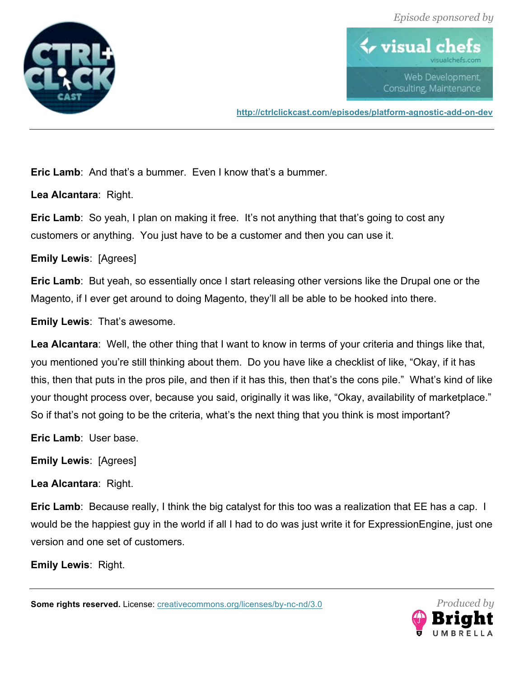



**http://ctrlclickcast.com/episodes/platform-agnostic-add-on-dev**

**Eric Lamb:** And that's a bummer. Even I know that's a bummer.

**Lea Alcantara**: Right.

**Eric Lamb**: So yeah, I plan on making it free. It's not anything that that's going to cost any customers or anything. You just have to be a customer and then you can use it.

**Emily Lewis**: [Agrees]

**Eric Lamb**: But yeah, so essentially once I start releasing other versions like the Drupal one or the Magento, if I ever get around to doing Magento, they'll all be able to be hooked into there.

**Emily Lewis**: That's awesome.

**Lea Alcantara**: Well, the other thing that I want to know in terms of your criteria and things like that, you mentioned you're still thinking about them. Do you have like a checklist of like, "Okay, if it has this, then that puts in the pros pile, and then if it has this, then that's the cons pile." What's kind of like your thought process over, because you said, originally it was like, "Okay, availability of marketplace." So if that's not going to be the criteria, what's the next thing that you think is most important?

**Eric Lamb**: User base.

**Emily Lewis**: [Agrees]

**Lea Alcantara**: Right.

**Eric Lamb**: Because really, I think the big catalyst for this too was a realization that EE has a cap. I would be the happiest guy in the world if all I had to do was just write it for ExpressionEngine, just one version and one set of customers.

**Emily Lewis**: Right.

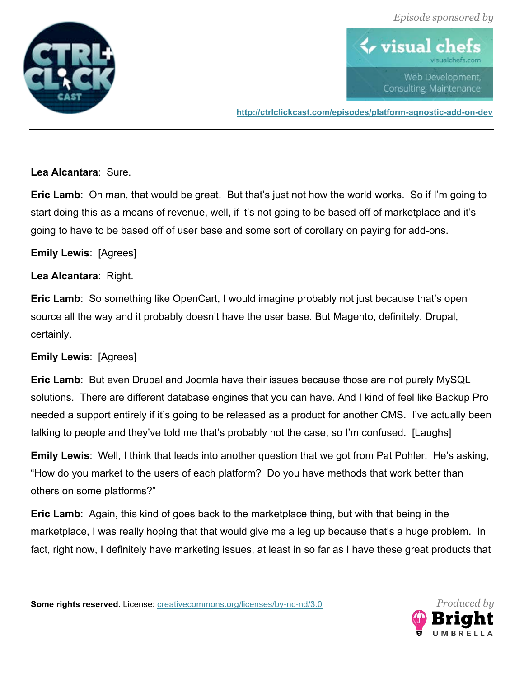



**http://ctrlclickcast.com/episodes/platform-agnostic-add-on-dev**

**Lea Alcantara**: Sure.

**Eric Lamb**: Oh man, that would be great. But that's just not how the world works. So if I'm going to start doing this as a means of revenue, well, if it's not going to be based off of marketplace and it's going to have to be based off of user base and some sort of corollary on paying for add-ons.

**Emily Lewis**: [Agrees]

**Lea Alcantara**: Right.

**Eric Lamb**: So something like OpenCart, I would imagine probably not just because that's open source all the way and it probably doesn't have the user base. But Magento, definitely. Drupal, certainly.

**Emily Lewis**: [Agrees]

**Eric Lamb**: But even Drupal and Joomla have their issues because those are not purely MySQL solutions. There are different database engines that you can have. And I kind of feel like Backup Pro needed a support entirely if it's going to be released as a product for another CMS. I've actually been talking to people and they've told me that's probably not the case, so I'm confused. [Laughs]

**Emily Lewis**: Well, I think that leads into another question that we got from Pat Pohler. He's asking, "How do you market to the users of each platform? Do you have methods that work better than others on some platforms?"

**Eric Lamb**: Again, this kind of goes back to the marketplace thing, but with that being in the marketplace, I was really hoping that that would give me a leg up because that's a huge problem. In fact, right now, I definitely have marketing issues, at least in so far as I have these great products that

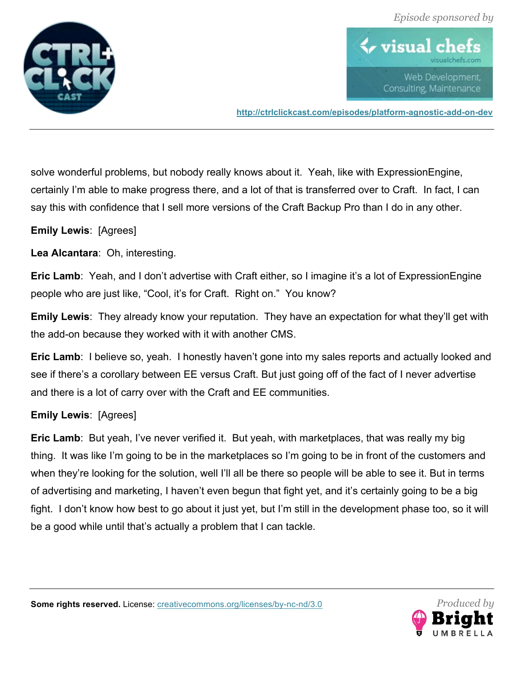



**http://ctrlclickcast.com/episodes/platform-agnostic-add-on-dev**

solve wonderful problems, but nobody really knows about it. Yeah, like with ExpressionEngine, certainly I'm able to make progress there, and a lot of that is transferred over to Craft. In fact, I can say this with confidence that I sell more versions of the Craft Backup Pro than I do in any other.

#### **Emily Lewis**: [Agrees]

**Lea Alcantara**: Oh, interesting.

**Eric Lamb**: Yeah, and I don't advertise with Craft either, so I imagine it's a lot of ExpressionEngine people who are just like, "Cool, it's for Craft. Right on." You know?

**Emily Lewis**: They already know your reputation. They have an expectation for what they'll get with the add-on because they worked with it with another CMS.

**Eric Lamb**: I believe so, yeah. I honestly haven't gone into my sales reports and actually looked and see if there's a corollary between EE versus Craft. But just going off of the fact of I never advertise and there is a lot of carry over with the Craft and EE communities.

#### **Emily Lewis**: [Agrees]

**Eric Lamb**: But yeah, I've never verified it. But yeah, with marketplaces, that was really my big thing. It was like I'm going to be in the marketplaces so I'm going to be in front of the customers and when they're looking for the solution, well I'll all be there so people will be able to see it. But in terms of advertising and marketing, I haven't even begun that fight yet, and it's certainly going to be a big fight. I don't know how best to go about it just yet, but I'm still in the development phase too, so it will be a good while until that's actually a problem that I can tackle.

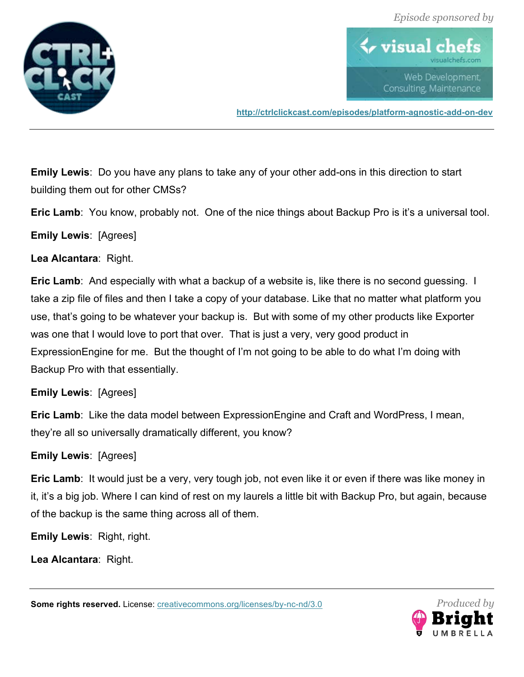



**http://ctrlclickcast.com/episodes/platform-agnostic-add-on-dev**

**Emily Lewis**: Do you have any plans to take any of your other add-ons in this direction to start building them out for other CMSs?

**Eric Lamb**: You know, probably not. One of the nice things about Backup Pro is it's a universal tool.

**Emily Lewis**: [Agrees]

**Lea Alcantara**: Right.

**Eric Lamb**: And especially with what a backup of a website is, like there is no second guessing. I take a zip file of files and then I take a copy of your database. Like that no matter what platform you use, that's going to be whatever your backup is. But with some of my other products like Exporter was one that I would love to port that over. That is just a very, very good product in ExpressionEngine for me. But the thought of I'm not going to be able to do what I'm doing with Backup Pro with that essentially.

# **Emily Lewis**: [Agrees]

**Eric Lamb**: Like the data model between ExpressionEngine and Craft and WordPress, I mean, they're all so universally dramatically different, you know?

# **Emily Lewis**: [Agrees]

**Eric Lamb**: It would just be a very, very tough job, not even like it or even if there was like money in it, it's a big job. Where I can kind of rest on my laurels a little bit with Backup Pro, but again, because of the backup is the same thing across all of them.

**Emily Lewis**: Right, right.

**Lea Alcantara**: Right.

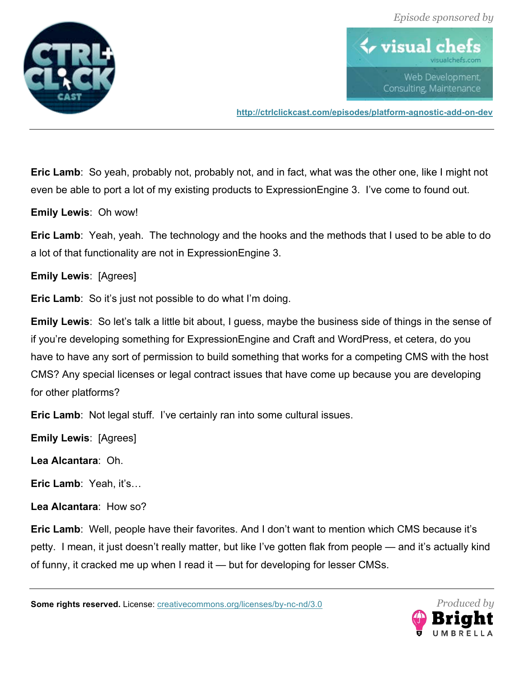



**http://ctrlclickcast.com/episodes/platform-agnostic-add-on-dev**

**Eric Lamb**: So yeah, probably not, probably not, and in fact, what was the other one, like I might not even be able to port a lot of my existing products to ExpressionEngine 3. I've come to found out.

**Emily Lewis**: Oh wow!

**Eric Lamb**: Yeah, yeah. The technology and the hooks and the methods that I used to be able to do a lot of that functionality are not in ExpressionEngine 3.

**Emily Lewis**: [Agrees]

**Eric Lamb:** So it's just not possible to do what I'm doing.

**Emily Lewis**: So let's talk a little bit about, I guess, maybe the business side of things in the sense of if you're developing something for ExpressionEngine and Craft and WordPress, et cetera, do you have to have any sort of permission to build something that works for a competing CMS with the host CMS? Any special licenses or legal contract issues that have come up because you are developing for other platforms?

**Eric Lamb**: Not legal stuff. I've certainly ran into some cultural issues.

**Emily Lewis**: [Agrees]

**Lea Alcantara**: Oh.

**Eric Lamb**: Yeah, it's…

**Lea Alcantara**: How so?

**Eric Lamb**: Well, people have their favorites. And I don't want to mention which CMS because it's petty. I mean, it just doesn't really matter, but like I've gotten flak from people — and it's actually kind of funny, it cracked me up when I read it — but for developing for lesser CMSs.

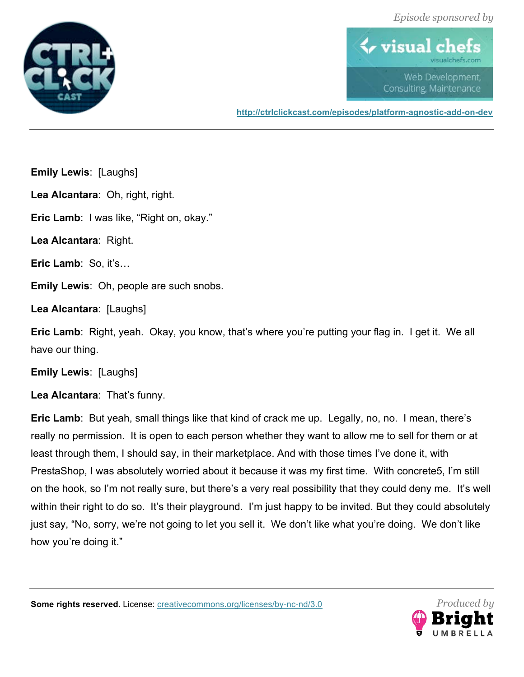



**http://ctrlclickcast.com/episodes/platform-agnostic-add-on-dev**

**Emily Lewis**: [Laughs]

**Lea Alcantara**: Oh, right, right.

**Eric Lamb**: I was like, "Right on, okay."

**Lea Alcantara**: Right.

**Eric Lamb**: So, it's…

**Emily Lewis**: Oh, people are such snobs.

**Lea Alcantara**: [Laughs]

**Eric Lamb**: Right, yeah. Okay, you know, that's where you're putting your flag in. I get it. We all have our thing.

**Emily Lewis**: [Laughs]

**Lea Alcantara**: That's funny.

**Eric Lamb**: But yeah, small things like that kind of crack me up. Legally, no, no. I mean, there's really no permission. It is open to each person whether they want to allow me to sell for them or at least through them, I should say, in their marketplace. And with those times I've done it, with PrestaShop, I was absolutely worried about it because it was my first time. With concrete5, I'm still on the hook, so I'm not really sure, but there's a very real possibility that they could deny me. It's well within their right to do so. It's their playground. I'm just happy to be invited. But they could absolutely just say, "No, sorry, we're not going to let you sell it. We don't like what you're doing. We don't like how you're doing it."

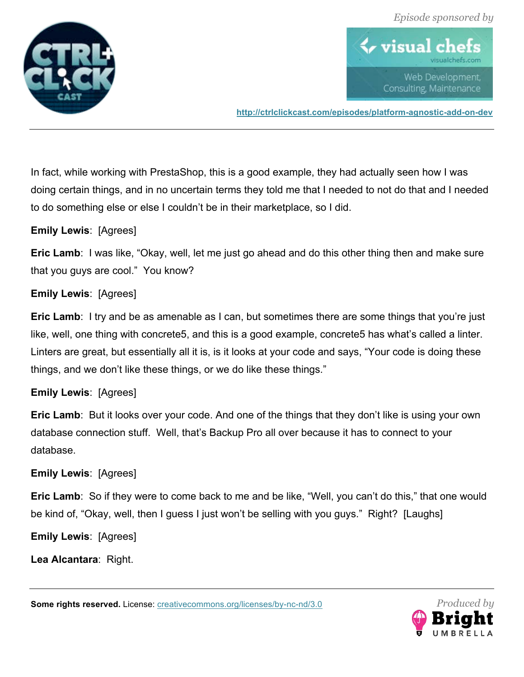



**http://ctrlclickcast.com/episodes/platform-agnostic-add-on-dev**

In fact, while working with PrestaShop, this is a good example, they had actually seen how I was doing certain things, and in no uncertain terms they told me that I needed to not do that and I needed to do something else or else I couldn't be in their marketplace, so I did.

#### **Emily Lewis**: [Agrees]

**Eric Lamb**: I was like, "Okay, well, let me just go ahead and do this other thing then and make sure that you guys are cool." You know?

# **Emily Lewis**: [Agrees]

**Eric Lamb:** I try and be as amenable as I can, but sometimes there are some things that you're just like, well, one thing with concrete5, and this is a good example, concrete5 has what's called a linter. Linters are great, but essentially all it is, is it looks at your code and says, "Your code is doing these things, and we don't like these things, or we do like these things."

#### **Emily Lewis**: [Agrees]

**Eric Lamb**: But it looks over your code. And one of the things that they don't like is using your own database connection stuff. Well, that's Backup Pro all over because it has to connect to your database.

#### **Emily Lewis**: [Agrees]

**Eric Lamb**: So if they were to come back to me and be like, "Well, you can't do this," that one would be kind of, "Okay, well, then I guess I just won't be selling with you guys." Right? [Laughs]

**Emily Lewis**: [Agrees]

**Lea Alcantara**: Right.

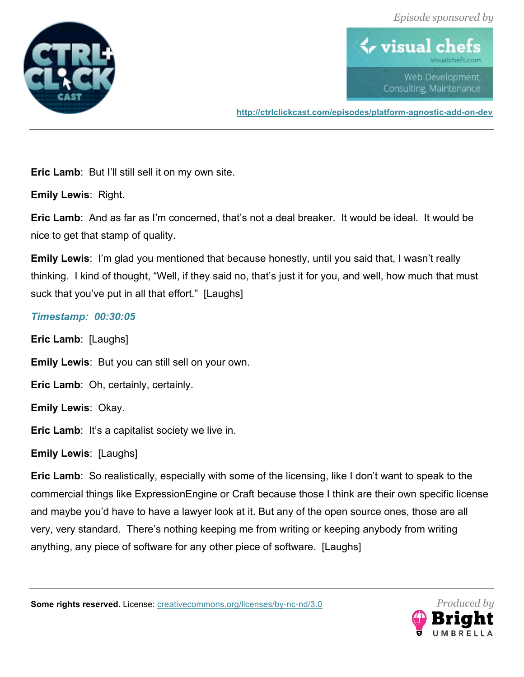



**http://ctrlclickcast.com/episodes/platform-agnostic-add-on-dev**

**Eric Lamb**: But I'll still sell it on my own site.

**Emily Lewis**: Right.

**Eric Lamb**: And as far as I'm concerned, that's not a deal breaker. It would be ideal. It would be nice to get that stamp of quality.

**Emily Lewis**: I'm glad you mentioned that because honestly, until you said that, I wasn't really thinking. I kind of thought, "Well, if they said no, that's just it for you, and well, how much that must suck that you've put in all that effort." [Laughs]

# *Timestamp: 00:30:05*

**Eric Lamb**: [Laughs]

**Emily Lewis**: But you can still sell on your own.

**Eric Lamb**: Oh, certainly, certainly.

**Emily Lewis**: Okay.

**Eric Lamb:** It's a capitalist society we live in.

**Emily Lewis**: [Laughs]

**Eric Lamb**: So realistically, especially with some of the licensing, like I don't want to speak to the commercial things like ExpressionEngine or Craft because those I think are their own specific license and maybe you'd have to have a lawyer look at it. But any of the open source ones, those are all very, very standard. There's nothing keeping me from writing or keeping anybody from writing anything, any piece of software for any other piece of software. [Laughs]

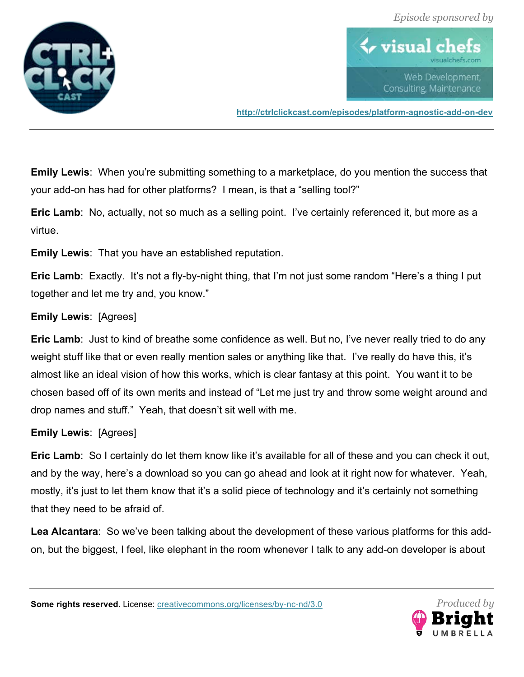



**http://ctrlclickcast.com/episodes/platform-agnostic-add-on-dev**

**Emily Lewis**: When you're submitting something to a marketplace, do you mention the success that your add-on has had for other platforms? I mean, is that a "selling tool?"

**Eric Lamb:** No, actually, not so much as a selling point. I've certainly referenced it, but more as a virtue.

**Emily Lewis**: That you have an established reputation.

**Eric Lamb**: Exactly. It's not a fly-by-night thing, that I'm not just some random "Here's a thing I put together and let me try and, you know."

#### **Emily Lewis**: [Agrees]

**Eric Lamb:** Just to kind of breathe some confidence as well. But no, I've never really tried to do any weight stuff like that or even really mention sales or anything like that. I've really do have this, it's almost like an ideal vision of how this works, which is clear fantasy at this point. You want it to be chosen based off of its own merits and instead of "Let me just try and throw some weight around and drop names and stuff." Yeah, that doesn't sit well with me.

# **Emily Lewis**: [Agrees]

**Eric Lamb**: So I certainly do let them know like it's available for all of these and you can check it out, and by the way, here's a download so you can go ahead and look at it right now for whatever. Yeah, mostly, it's just to let them know that it's a solid piece of technology and it's certainly not something that they need to be afraid of.

**Lea Alcantara**: So we've been talking about the development of these various platforms for this addon, but the biggest, I feel, like elephant in the room whenever I talk to any add-on developer is about

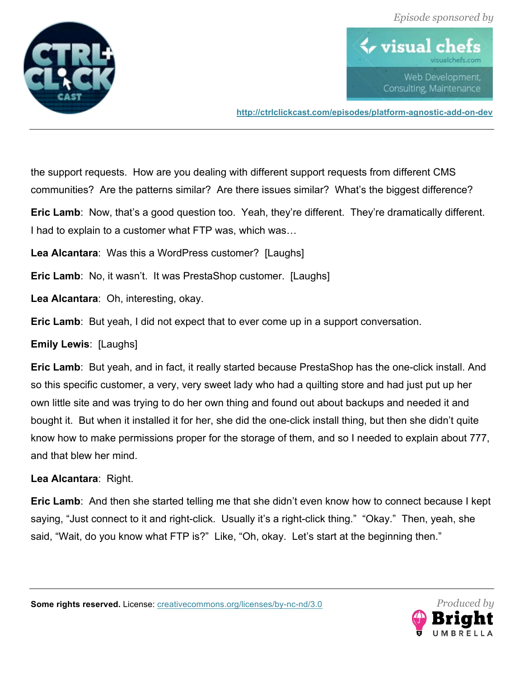



**http://ctrlclickcast.com/episodes/platform-agnostic-add-on-dev**

the support requests. How are you dealing with different support requests from different CMS communities? Are the patterns similar? Are there issues similar? What's the biggest difference?

**Eric Lamb:** Now, that's a good question too. Yeah, they're different. They're dramatically different. I had to explain to a customer what FTP was, which was…

**Lea Alcantara**: Was this a WordPress customer? [Laughs]

**Eric Lamb**: No, it wasn't. It was PrestaShop customer. [Laughs]

**Lea Alcantara**: Oh, interesting, okay.

**Eric Lamb**: But yeah, I did not expect that to ever come up in a support conversation.

**Emily Lewis**: [Laughs]

**Eric Lamb**: But yeah, and in fact, it really started because PrestaShop has the one-click install. And so this specific customer, a very, very sweet lady who had a quilting store and had just put up her own little site and was trying to do her own thing and found out about backups and needed it and bought it. But when it installed it for her, she did the one-click install thing, but then she didn't quite know how to make permissions proper for the storage of them, and so I needed to explain about 777, and that blew her mind.

**Lea Alcantara**: Right.

**Eric Lamb**: And then she started telling me that she didn't even know how to connect because I kept saying, "Just connect to it and right-click. Usually it's a right-click thing." "Okay." Then, yeah, she said, "Wait, do you know what FTP is?" Like, "Oh, okay. Let's start at the beginning then."

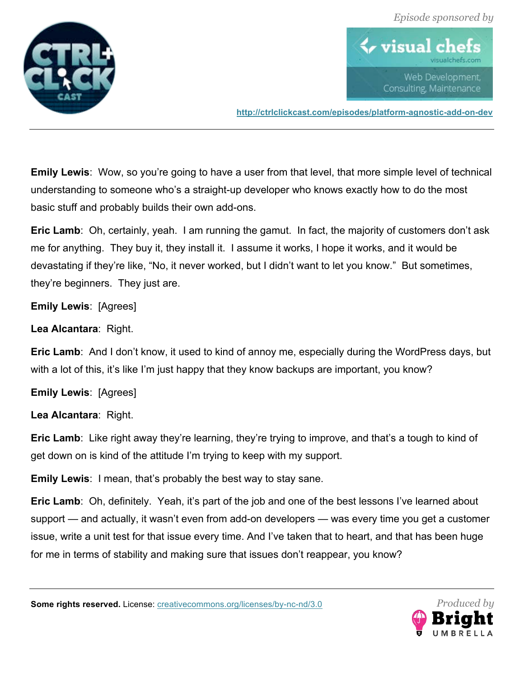



**http://ctrlclickcast.com/episodes/platform-agnostic-add-on-dev**

**Emily Lewis**: Wow, so you're going to have a user from that level, that more simple level of technical understanding to someone who's a straight-up developer who knows exactly how to do the most basic stuff and probably builds their own add-ons.

**Eric Lamb**: Oh, certainly, yeah. I am running the gamut. In fact, the majority of customers don't ask me for anything. They buy it, they install it. I assume it works, I hope it works, and it would be devastating if they're like, "No, it never worked, but I didn't want to let you know." But sometimes, they're beginners. They just are.

**Emily Lewis**: [Agrees]

**Lea Alcantara**: Right.

**Eric Lamb**: And I don't know, it used to kind of annoy me, especially during the WordPress days, but with a lot of this, it's like I'm just happy that they know backups are important, you know?

**Emily Lewis**: [Agrees]

**Lea Alcantara**: Right.

**Eric Lamb**: Like right away they're learning, they're trying to improve, and that's a tough to kind of get down on is kind of the attitude I'm trying to keep with my support.

**Emily Lewis**: I mean, that's probably the best way to stay sane.

**Eric Lamb**: Oh, definitely. Yeah, it's part of the job and one of the best lessons I've learned about support — and actually, it wasn't even from add-on developers — was every time you get a customer issue, write a unit test for that issue every time. And I've taken that to heart, and that has been huge for me in terms of stability and making sure that issues don't reappear, you know?

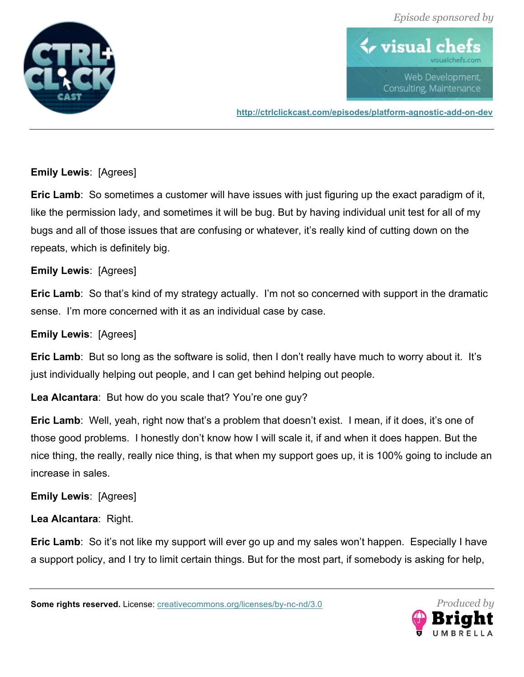



**http://ctrlclickcast.com/episodes/platform-agnostic-add-on-dev**

# **Emily Lewis**: [Agrees]

**Eric Lamb**: So sometimes a customer will have issues with just figuring up the exact paradigm of it, like the permission lady, and sometimes it will be bug. But by having individual unit test for all of my bugs and all of those issues that are confusing or whatever, it's really kind of cutting down on the repeats, which is definitely big.

# **Emily Lewis**: [Agrees]

**Eric Lamb**: So that's kind of my strategy actually. I'm not so concerned with support in the dramatic sense. I'm more concerned with it as an individual case by case.

# **Emily Lewis**: [Agrees]

**Eric Lamb**: But so long as the software is solid, then I don't really have much to worry about it. It's just individually helping out people, and I can get behind helping out people.

**Lea Alcantara**: But how do you scale that? You're one guy?

**Eric Lamb**: Well, yeah, right now that's a problem that doesn't exist. I mean, if it does, it's one of those good problems. I honestly don't know how I will scale it, if and when it does happen. But the nice thing, the really, really nice thing, is that when my support goes up, it is 100% going to include an increase in sales.

**Emily Lewis**: [Agrees]

**Lea Alcantara**: Right.

**Eric Lamb**: So it's not like my support will ever go up and my sales won't happen. Especially I have a support policy, and I try to limit certain things. But for the most part, if somebody is asking for help,

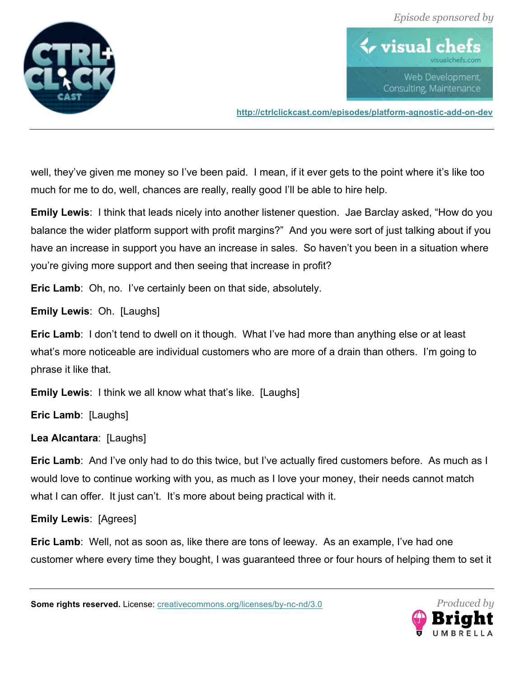



**http://ctrlclickcast.com/episodes/platform-agnostic-add-on-dev**

well, they've given me money so I've been paid. I mean, if it ever gets to the point where it's like too much for me to do, well, chances are really, really good I'll be able to hire help.

**Emily Lewis**: I think that leads nicely into another listener question. Jae Barclay asked, "How do you balance the wider platform support with profit margins?" And you were sort of just talking about if you have an increase in support you have an increase in sales. So haven't you been in a situation where you're giving more support and then seeing that increase in profit?

**Eric Lamb**: Oh, no. I've certainly been on that side, absolutely.

**Emily Lewis**: Oh. [Laughs]

**Eric Lamb**: I don't tend to dwell on it though. What I've had more than anything else or at least what's more noticeable are individual customers who are more of a drain than others. I'm going to phrase it like that.

**Emily Lewis**: I think we all know what that's like. [Laughs]

**Eric Lamb**: [Laughs]

**Lea Alcantara**: [Laughs]

**Eric Lamb**: And I've only had to do this twice, but I've actually fired customers before. As much as I would love to continue working with you, as much as I love your money, their needs cannot match what I can offer. It just can't. It's more about being practical with it.

**Emily Lewis**: [Agrees]

**Eric Lamb**: Well, not as soon as, like there are tons of leeway. As an example, I've had one customer where every time they bought, I was guaranteed three or four hours of helping them to set it

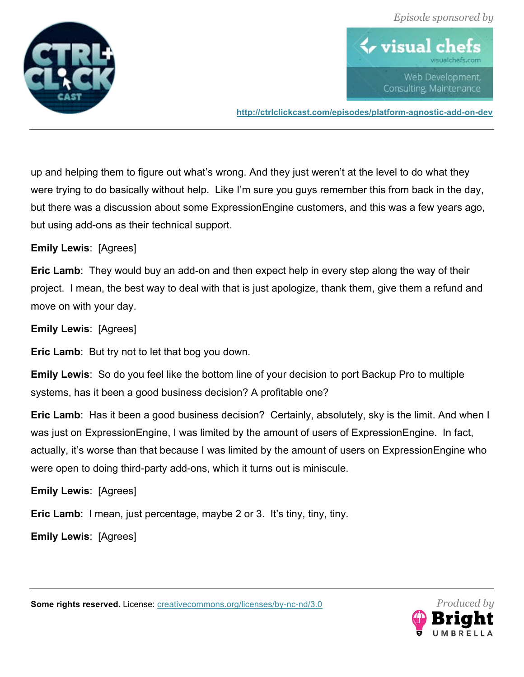



**http://ctrlclickcast.com/episodes/platform-agnostic-add-on-dev**

up and helping them to figure out what's wrong. And they just weren't at the level to do what they were trying to do basically without help. Like I'm sure you guys remember this from back in the day, but there was a discussion about some ExpressionEngine customers, and this was a few years ago, but using add-ons as their technical support.

#### **Emily Lewis**: [Agrees]

**Eric Lamb**: They would buy an add-on and then expect help in every step along the way of their project. I mean, the best way to deal with that is just apologize, thank them, give them a refund and move on with your day.

**Emily Lewis**: [Agrees]

**Eric Lamb**: But try not to let that bog you down.

**Emily Lewis**: So do you feel like the bottom line of your decision to port Backup Pro to multiple systems, has it been a good business decision? A profitable one?

**Eric Lamb**: Has it been a good business decision? Certainly, absolutely, sky is the limit. And when I was just on ExpressionEngine, I was limited by the amount of users of ExpressionEngine. In fact, actually, it's worse than that because I was limited by the amount of users on ExpressionEngine who were open to doing third-party add-ons, which it turns out is miniscule.

#### **Emily Lewis**: [Agrees]

**Eric Lamb**: I mean, just percentage, maybe 2 or 3. It's tiny, tiny, tiny.

**Emily Lewis**: [Agrees]

*Produced by*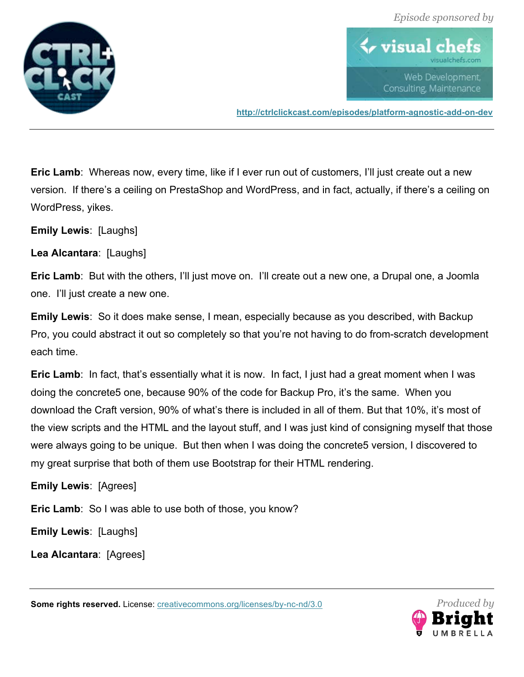



**http://ctrlclickcast.com/episodes/platform-agnostic-add-on-dev**

**Eric Lamb**: Whereas now, every time, like if I ever run out of customers, I'll just create out a new version. If there's a ceiling on PrestaShop and WordPress, and in fact, actually, if there's a ceiling on WordPress, yikes.

**Emily Lewis**: [Laughs]

**Lea Alcantara**: [Laughs]

**Eric Lamb**: But with the others, I'll just move on. I'll create out a new one, a Drupal one, a Joomla one. I'll just create a new one.

**Emily Lewis**: So it does make sense, I mean, especially because as you described, with Backup Pro, you could abstract it out so completely so that you're not having to do from-scratch development each time.

**Eric Lamb**: In fact, that's essentially what it is now. In fact, I just had a great moment when I was doing the concrete5 one, because 90% of the code for Backup Pro, it's the same. When you download the Craft version, 90% of what's there is included in all of them. But that 10%, it's most of the view scripts and the HTML and the layout stuff, and I was just kind of consigning myself that those were always going to be unique. But then when I was doing the concrete5 version, I discovered to my great surprise that both of them use Bootstrap for their HTML rendering.

**Emily Lewis**: [Agrees]

**Eric Lamb**: So I was able to use both of those, you know?

**Emily Lewis**: [Laughs]

**Lea Alcantara**: [Agrees]

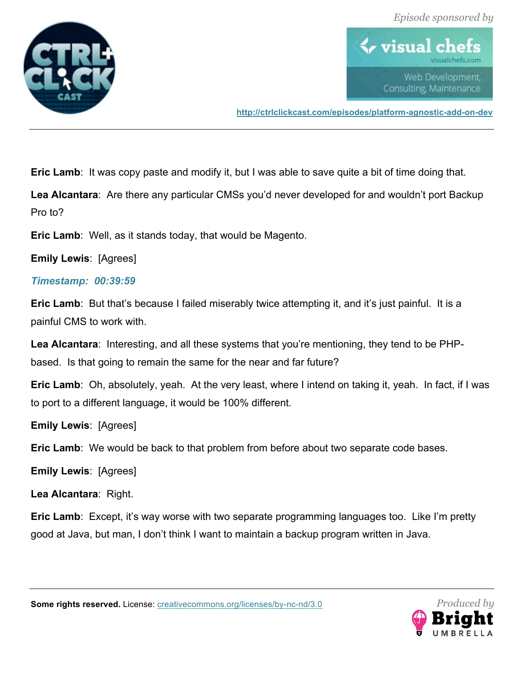



**http://ctrlclickcast.com/episodes/platform-agnostic-add-on-dev**

**Eric Lamb**: It was copy paste and modify it, but I was able to save quite a bit of time doing that.

**Lea Alcantara**: Are there any particular CMSs you'd never developed for and wouldn't port Backup Pro to?

**Eric Lamb**: Well, as it stands today, that would be Magento.

**Emily Lewis**: [Agrees]

# *Timestamp: 00:39:59*

**Eric Lamb**: But that's because I failed miserably twice attempting it, and it's just painful. It is a painful CMS to work with.

**Lea Alcantara**: Interesting, and all these systems that you're mentioning, they tend to be PHPbased. Is that going to remain the same for the near and far future?

**Eric Lamb**: Oh, absolutely, yeah. At the very least, where I intend on taking it, yeah. In fact, if I was to port to a different language, it would be 100% different.

**Emily Lewis**: [Agrees]

**Eric Lamb**: We would be back to that problem from before about two separate code bases.

**Emily Lewis**: [Agrees]

**Lea Alcantara**: Right.

**Eric Lamb**: Except, it's way worse with two separate programming languages too. Like I'm pretty good at Java, but man, I don't think I want to maintain a backup program written in Java.

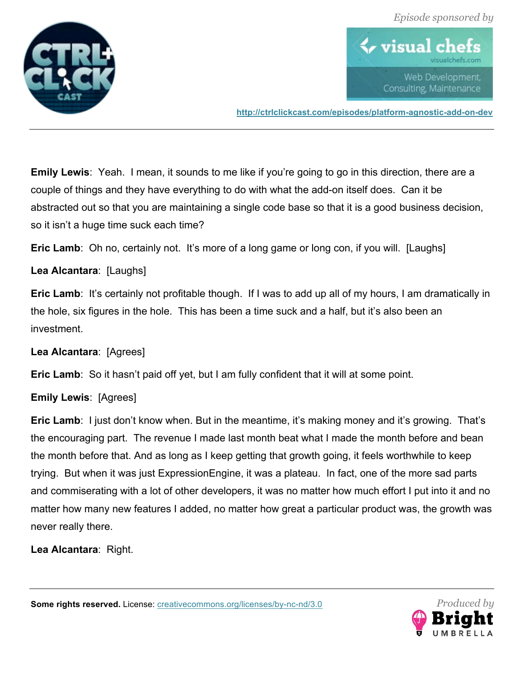



**http://ctrlclickcast.com/episodes/platform-agnostic-add-on-dev**

**Emily Lewis**: Yeah. I mean, it sounds to me like if you're going to go in this direction, there are a couple of things and they have everything to do with what the add-on itself does. Can it be abstracted out so that you are maintaining a single code base so that it is a good business decision, so it isn't a huge time suck each time?

**Eric Lamb**: Oh no, certainly not. It's more of a long game or long con, if you will. [Laughs]

**Lea Alcantara**: [Laughs]

**Eric Lamb**: It's certainly not profitable though. If I was to add up all of my hours, I am dramatically in the hole, six figures in the hole. This has been a time suck and a half, but it's also been an investment.

**Lea Alcantara**: [Agrees]

**Eric Lamb**: So it hasn't paid off yet, but I am fully confident that it will at some point.

# **Emily Lewis**: [Agrees]

**Eric Lamb**: I just don't know when. But in the meantime, it's making money and it's growing. That's the encouraging part. The revenue I made last month beat what I made the month before and bean the month before that. And as long as I keep getting that growth going, it feels worthwhile to keep trying. But when it was just ExpressionEngine, it was a plateau. In fact, one of the more sad parts and commiserating with a lot of other developers, it was no matter how much effort I put into it and no matter how many new features I added, no matter how great a particular product was, the growth was never really there.

**Lea Alcantara**: Right.

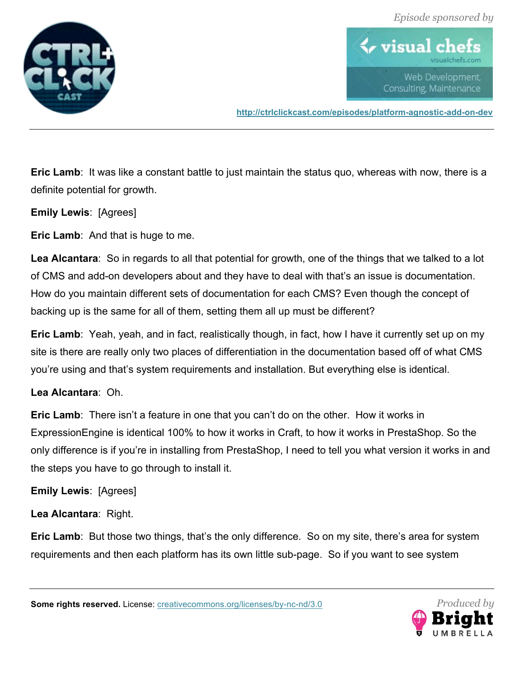



**http://ctrlclickcast.com/episodes/platform-agnostic-add-on-dev**

**Eric Lamb:** It was like a constant battle to just maintain the status quo, whereas with now, there is a definite potential for growth.

**Emily Lewis**: [Agrees]

**Eric Lamb**: And that is huge to me.

**Lea Alcantara**: So in regards to all that potential for growth, one of the things that we talked to a lot of CMS and add-on developers about and they have to deal with that's an issue is documentation. How do you maintain different sets of documentation for each CMS? Even though the concept of backing up is the same for all of them, setting them all up must be different?

**Eric Lamb**: Yeah, yeah, and in fact, realistically though, in fact, how I have it currently set up on my site is there are really only two places of differentiation in the documentation based off of what CMS you're using and that's system requirements and installation. But everything else is identical.

# **Lea Alcantara**: Oh.

**Eric Lamb**: There isn't a feature in one that you can't do on the other. How it works in ExpressionEngine is identical 100% to how it works in Craft, to how it works in PrestaShop. So the only difference is if you're in installing from PrestaShop, I need to tell you what version it works in and the steps you have to go through to install it.

#### **Emily Lewis**: [Agrees]

**Lea Alcantara**: Right.

**Eric Lamb**: But those two things, that's the only difference. So on my site, there's area for system requirements and then each platform has its own little sub-page. So if you want to see system

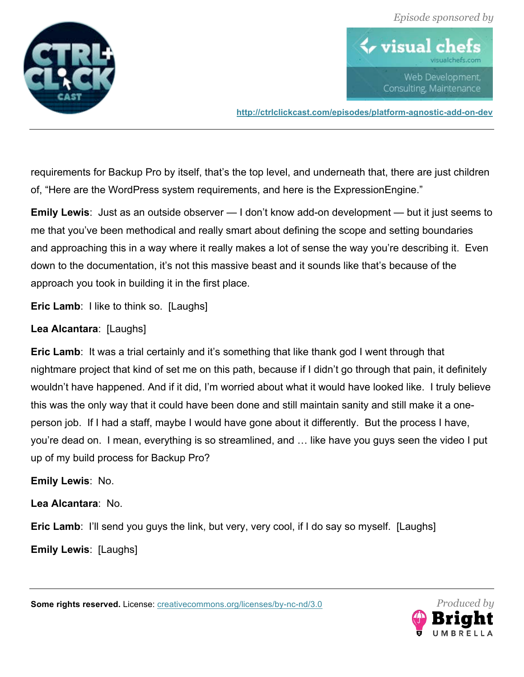



**http://ctrlclickcast.com/episodes/platform-agnostic-add-on-dev**

requirements for Backup Pro by itself, that's the top level, and underneath that, there are just children of, "Here are the WordPress system requirements, and here is the ExpressionEngine."

**Emily Lewis**: Just as an outside observer — I don't know add-on development — but it just seems to me that you've been methodical and really smart about defining the scope and setting boundaries and approaching this in a way where it really makes a lot of sense the way you're describing it. Even down to the documentation, it's not this massive beast and it sounds like that's because of the approach you took in building it in the first place.

**Eric Lamb:** I like to think so. [Laughs]

# **Lea Alcantara**: [Laughs]

**Eric Lamb:** It was a trial certainly and it's something that like thank god I went through that nightmare project that kind of set me on this path, because if I didn't go through that pain, it definitely wouldn't have happened. And if it did, I'm worried about what it would have looked like. I truly believe this was the only way that it could have been done and still maintain sanity and still make it a oneperson job. If I had a staff, maybe I would have gone about it differently. But the process I have, you're dead on. I mean, everything is so streamlined, and … like have you guys seen the video I put up of my build process for Backup Pro?

# **Emily Lewis**: No.

**Lea Alcantara**: No.

**Eric Lamb:** I'll send you guys the link, but very, very cool, if I do say so myself. [Laughs]

**Emily Lewis**: [Laughs]

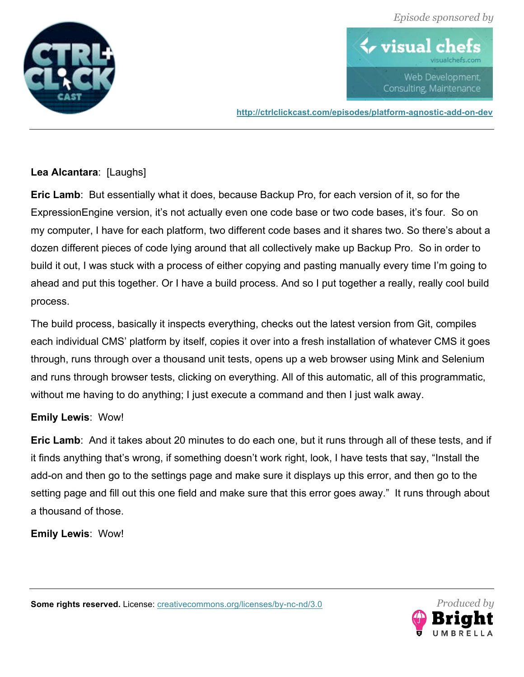



**http://ctrlclickcast.com/episodes/platform-agnostic-add-on-dev**

# **Lea Alcantara**: [Laughs]

**Eric Lamb**: But essentially what it does, because Backup Pro, for each version of it, so for the ExpressionEngine version, it's not actually even one code base or two code bases, it's four. So on my computer, I have for each platform, two different code bases and it shares two. So there's about a dozen different pieces of code lying around that all collectively make up Backup Pro. So in order to build it out, I was stuck with a process of either copying and pasting manually every time I'm going to ahead and put this together. Or I have a build process. And so I put together a really, really cool build process.

The build process, basically it inspects everything, checks out the latest version from Git, compiles each individual CMS' platform by itself, copies it over into a fresh installation of whatever CMS it goes through, runs through over a thousand unit tests, opens up a web browser using Mink and Selenium and runs through browser tests, clicking on everything. All of this automatic, all of this programmatic, without me having to do anything; I just execute a command and then I just walk away.

# **Emily Lewis**: Wow!

**Eric Lamb**: And it takes about 20 minutes to do each one, but it runs through all of these tests, and if it finds anything that's wrong, if something doesn't work right, look, I have tests that say, "Install the add-on and then go to the settings page and make sure it displays up this error, and then go to the setting page and fill out this one field and make sure that this error goes away." It runs through about a thousand of those.

**Emily Lewis**: Wow!

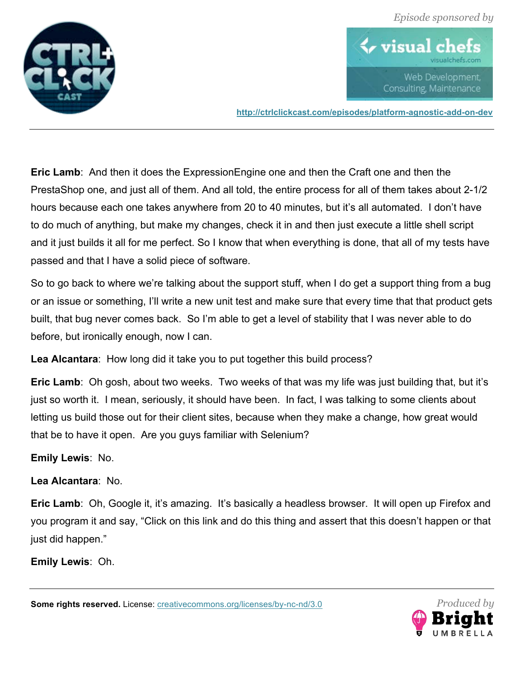



**http://ctrlclickcast.com/episodes/platform-agnostic-add-on-dev**

**Eric Lamb**: And then it does the ExpressionEngine one and then the Craft one and then the PrestaShop one, and just all of them. And all told, the entire process for all of them takes about 2-1/2 hours because each one takes anywhere from 20 to 40 minutes, but it's all automated. I don't have to do much of anything, but make my changes, check it in and then just execute a little shell script and it just builds it all for me perfect. So I know that when everything is done, that all of my tests have passed and that I have a solid piece of software.

So to go back to where we're talking about the support stuff, when I do get a support thing from a bug or an issue or something, I'll write a new unit test and make sure that every time that that product gets built, that bug never comes back. So I'm able to get a level of stability that I was never able to do before, but ironically enough, now I can.

**Lea Alcantara**: How long did it take you to put together this build process?

**Eric Lamb**: Oh gosh, about two weeks. Two weeks of that was my life was just building that, but it's just so worth it. I mean, seriously, it should have been. In fact, I was talking to some clients about letting us build those out for their client sites, because when they make a change, how great would that be to have it open. Are you guys familiar with Selenium?

**Emily Lewis**: No.

# **Lea Alcantara**: No.

**Eric Lamb**: Oh, Google it, it's amazing. It's basically a headless browser. It will open up Firefox and you program it and say, "Click on this link and do this thing and assert that this doesn't happen or that just did happen."

**Emily Lewis**: Oh.

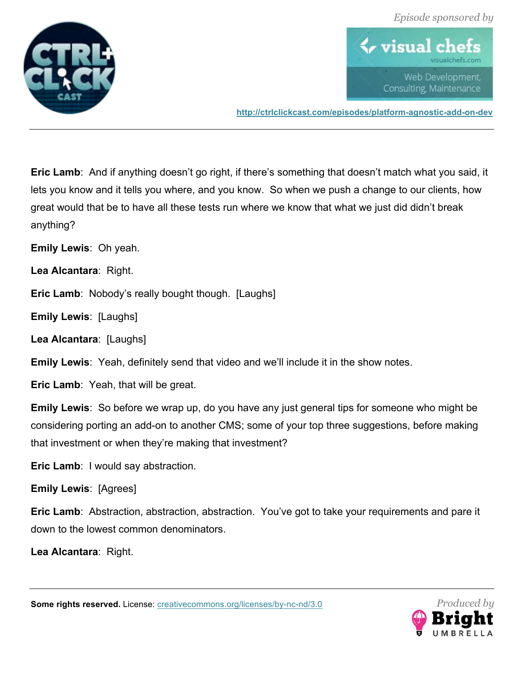



**http://ctrlclickcast.com/episodes/platform-agnostic-add-on-dev**

**Eric Lamb**: And if anything doesn't go right, if there's something that doesn't match what you said, it lets you know and it tells you where, and you know. So when we push a change to our clients, how great would that be to have all these tests run where we know that what we just did didn't break anything?

**Emily Lewis**: Oh yeah.

**Lea Alcantara**: Right.

**Eric Lamb:** Nobody's really bought though. [Laughs]

**Emily Lewis**: [Laughs]

**Lea Alcantara**: [Laughs]

**Emily Lewis**: Yeah, definitely send that video and we'll include it in the show notes.

**Eric Lamb**: Yeah, that will be great.

**Emily Lewis**: So before we wrap up, do you have any just general tips for someone who might be considering porting an add-on to another CMS; some of your top three suggestions, before making that investment or when they're making that investment?

**Eric Lamb**: I would say abstraction.

#### **Emily Lewis**: [Agrees]

**Eric Lamb**: Abstraction, abstraction, abstraction. You've got to take your requirements and pare it down to the lowest common denominators.

**Lea Alcantara**: Right.

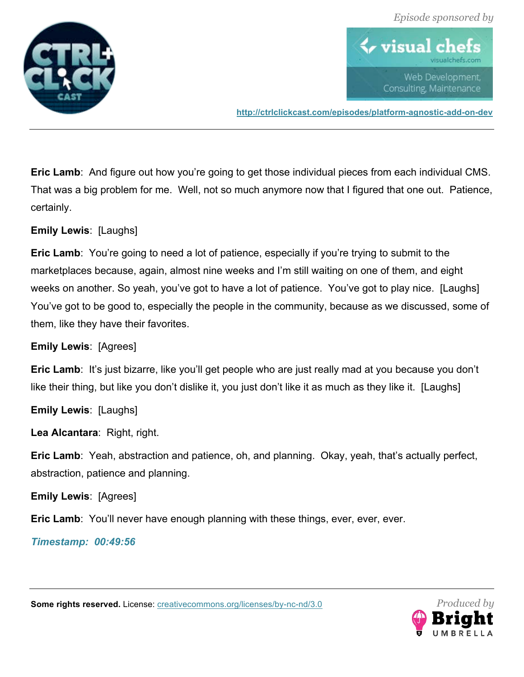



**http://ctrlclickcast.com/episodes/platform-agnostic-add-on-dev**

**Eric Lamb**: And figure out how you're going to get those individual pieces from each individual CMS. That was a big problem for me. Well, not so much anymore now that I figured that one out. Patience, certainly.

**Emily Lewis**: [Laughs]

**Eric Lamb:** You're going to need a lot of patience, especially if you're trying to submit to the marketplaces because, again, almost nine weeks and I'm still waiting on one of them, and eight weeks on another. So yeah, you've got to have a lot of patience. You've got to play nice. [Laughs] You've got to be good to, especially the people in the community, because as we discussed, some of them, like they have their favorites.

#### **Emily Lewis**: [Agrees]

**Eric Lamb:** It's just bizarre, like you'll get people who are just really mad at you because you don't like their thing, but like you don't dislike it, you just don't like it as much as they like it. [Laughs]

**Emily Lewis**: [Laughs]

**Lea Alcantara**: Right, right.

**Eric Lamb**: Yeah, abstraction and patience, oh, and planning. Okay, yeah, that's actually perfect, abstraction, patience and planning.

**Emily Lewis**: [Agrees]

**Eric Lamb**: You'll never have enough planning with these things, ever, ever, ever.

#### *Timestamp: 00:49:56*

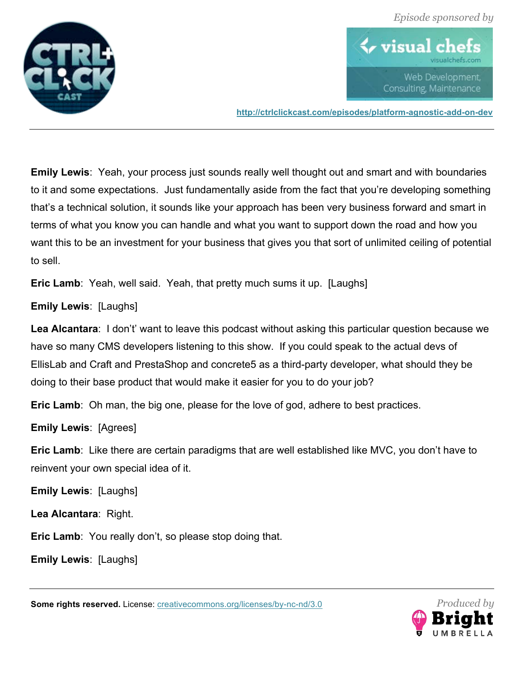



**http://ctrlclickcast.com/episodes/platform-agnostic-add-on-dev**

**Emily Lewis**: Yeah, your process just sounds really well thought out and smart and with boundaries to it and some expectations. Just fundamentally aside from the fact that you're developing something that's a technical solution, it sounds like your approach has been very business forward and smart in terms of what you know you can handle and what you want to support down the road and how you want this to be an investment for your business that gives you that sort of unlimited ceiling of potential to sell.

**Eric Lamb**: Yeah, well said. Yeah, that pretty much sums it up. [Laughs]

**Emily Lewis**: [Laughs]

**Lea Alcantara**: I don't' want to leave this podcast without asking this particular question because we have so many CMS developers listening to this show. If you could speak to the actual devs of EllisLab and Craft and PrestaShop and concrete5 as a third-party developer, what should they be doing to their base product that would make it easier for you to do your job?

**Eric Lamb**: Oh man, the big one, please for the love of god, adhere to best practices.

**Emily Lewis**: [Agrees]

**Eric Lamb**: Like there are certain paradigms that are well established like MVC, you don't have to reinvent your own special idea of it.

**Emily Lewis**: [Laughs]

**Lea Alcantara**: Right.

**Eric Lamb**: You really don't, so please stop doing that.

**Emily Lewis**: [Laughs]

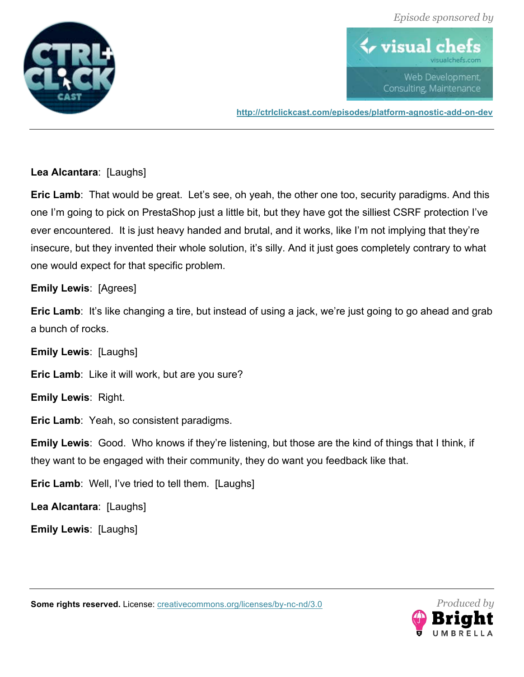



**http://ctrlclickcast.com/episodes/platform-agnostic-add-on-dev**

# **Lea Alcantara**: [Laughs]

**Eric Lamb:** That would be great. Let's see, oh yeah, the other one too, security paradigms. And this one I'm going to pick on PrestaShop just a little bit, but they have got the silliest CSRF protection I've ever encountered. It is just heavy handed and brutal, and it works, like I'm not implying that they're insecure, but they invented their whole solution, it's silly. And it just goes completely contrary to what one would expect for that specific problem.

#### **Emily Lewis**: [Agrees]

**Eric Lamb:** It's like changing a tire, but instead of using a jack, we're just going to go ahead and grab a bunch of rocks.

**Emily Lewis**: [Laughs]

**Eric Lamb**: Like it will work, but are you sure?

**Emily Lewis**: Right.

**Eric Lamb**: Yeah, so consistent paradigms.

**Emily Lewis**: Good. Who knows if they're listening, but those are the kind of things that I think, if they want to be engaged with their community, they do want you feedback like that.

**Eric Lamb**: Well, I've tried to tell them. [Laughs]

**Lea Alcantara**: [Laughs]

**Emily Lewis**: [Laughs]



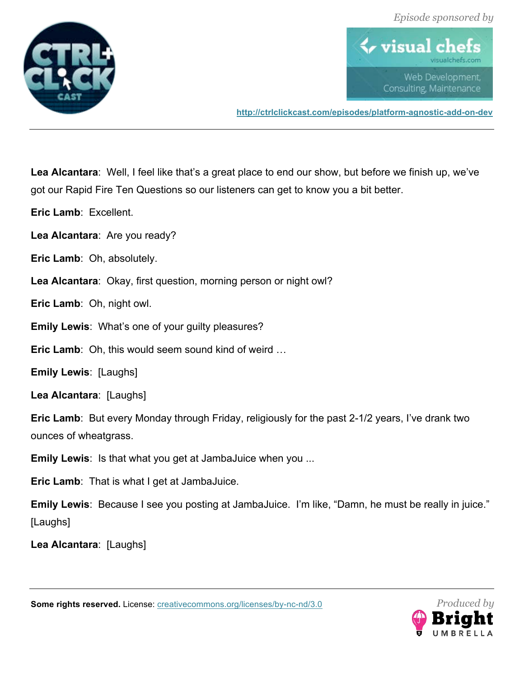

*<u><b>V* visual ch</u> Web Development. Consulting, Maintenance

**http://ctrlclickcast.com/episodes/platform-agnostic-add-on-dev**

**Lea Alcantara**: Well, I feel like that's a great place to end our show, but before we finish up, we've got our Rapid Fire Ten Questions so our listeners can get to know you a bit better.

**Eric Lamb**: Excellent.

**Lea Alcantara**: Are you ready?

**Eric Lamb**: Oh, absolutely.

**Lea Alcantara**: Okay, first question, morning person or night owl?

**Eric Lamb**: Oh, night owl.

**Emily Lewis**: What's one of your guilty pleasures?

**Eric Lamb**: Oh, this would seem sound kind of weird …

**Emily Lewis**: [Laughs]

**Lea Alcantara**: [Laughs]

**Eric Lamb**: But every Monday through Friday, religiously for the past 2-1/2 years, I've drank two ounces of wheatgrass.

**Emily Lewis**: Is that what you get at JambaJuice when you ...

**Eric Lamb**: That is what I get at JambaJuice.

**Emily Lewis**: Because I see you posting at JambaJuice. I'm like, "Damn, he must be really in juice." [Laughs]

**Lea Alcantara**: [Laughs]

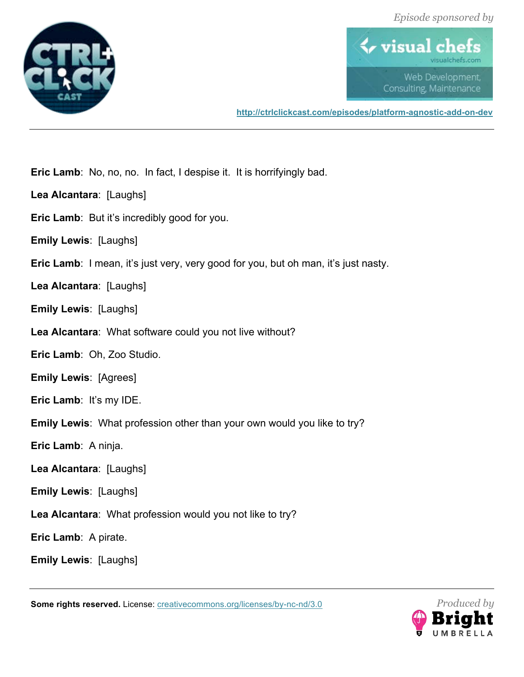



**http://ctrlclickcast.com/episodes/platform-agnostic-add-on-dev**

**Eric Lamb**: No, no, no. In fact, I despise it. It is horrifyingly bad.

- **Lea Alcantara**: [Laughs]
- **Eric Lamb**: But it's incredibly good for you.
- **Emily Lewis**: [Laughs]
- **Eric Lamb:** I mean, it's just very, very good for you, but oh man, it's just nasty.
- **Lea Alcantara**: [Laughs]
- **Emily Lewis**: [Laughs]
- **Lea Alcantara**: What software could you not live without?
- **Eric Lamb**: Oh, Zoo Studio.
- **Emily Lewis**: [Agrees]
- **Eric Lamb**: It's my IDE.
- **Emily Lewis**: What profession other than your own would you like to try?
- **Eric Lamb**: A ninja.
- **Lea Alcantara**: [Laughs]
- **Emily Lewis**: [Laughs]
- **Lea Alcantara**: What profession would you not like to try?
- **Eric Lamb**: A pirate.

**Emily Lewis**: [Laughs]

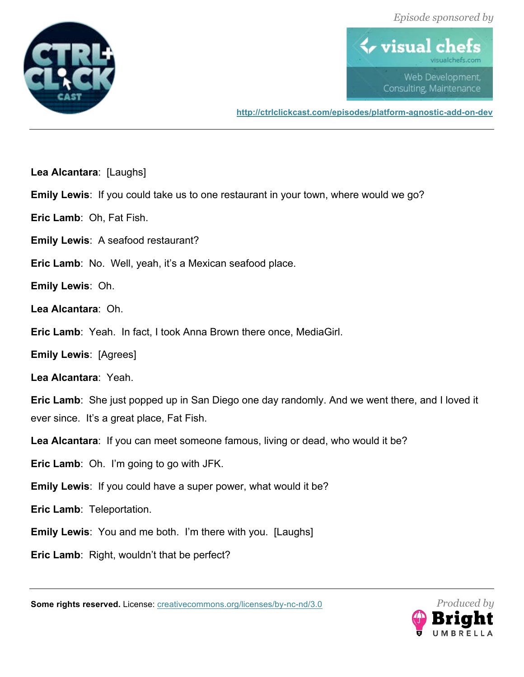



**http://ctrlclickcast.com/episodes/platform-agnostic-add-on-dev**

**Lea Alcantara**: [Laughs]

**Emily Lewis**: If you could take us to one restaurant in your town, where would we go?

**Eric Lamb**: Oh, Fat Fish.

**Emily Lewis**: A seafood restaurant?

**Eric Lamb**: No. Well, yeah, it's a Mexican seafood place.

**Emily Lewis**: Oh.

**Lea Alcantara**: Oh.

**Eric Lamb**: Yeah. In fact, I took Anna Brown there once, MediaGirl.

**Emily Lewis**: [Agrees]

**Lea Alcantara**: Yeah.

**Eric Lamb**: She just popped up in San Diego one day randomly. And we went there, and I loved it ever since. It's a great place, Fat Fish.

**Lea Alcantara**: If you can meet someone famous, living or dead, who would it be?

**Eric Lamb**: Oh. I'm going to go with JFK.

**Emily Lewis**: If you could have a super power, what would it be?

**Eric Lamb**: Teleportation.

**Emily Lewis**: You and me both. I'm there with you. [Laughs]

**Eric Lamb**: Right, wouldn't that be perfect?

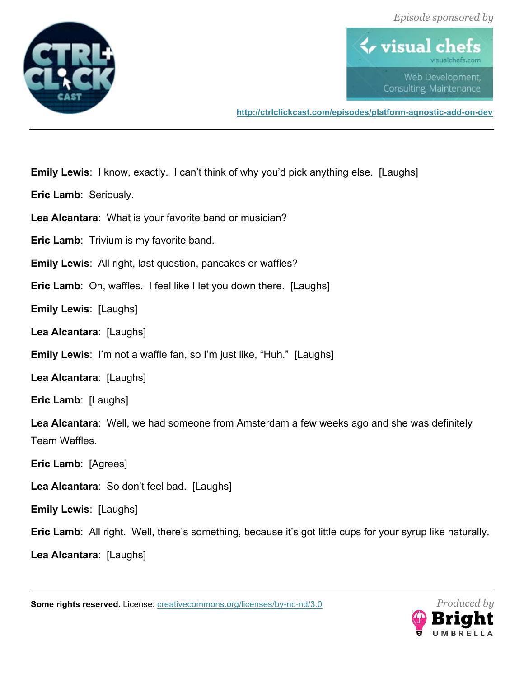



**http://ctrlclickcast.com/episodes/platform-agnostic-add-on-dev**

**Emily Lewis**: I know, exactly. I can't think of why you'd pick anything else. [Laughs]

**Eric Lamb**: Seriously.

**Lea Alcantara**: What is your favorite band or musician?

**Eric Lamb**: Trivium is my favorite band.

**Emily Lewis**: All right, last question, pancakes or waffles?

**Eric Lamb**: Oh, waffles. I feel like I let you down there. [Laughs]

**Emily Lewis**: [Laughs]

**Lea Alcantara**: [Laughs]

**Emily Lewis**: I'm not a waffle fan, so I'm just like, "Huh." [Laughs]

**Lea Alcantara**: [Laughs]

**Eric Lamb**: [Laughs]

**Lea Alcantara**: Well, we had someone from Amsterdam a few weeks ago and she was definitely Team Waffles.

**Eric Lamb**: [Agrees]

**Lea Alcantara**: So don't feel bad. [Laughs]

**Emily Lewis**: [Laughs]

**Eric Lamb**: All right. Well, there's something, because it's got little cups for your syrup like naturally.

**Lea Alcantara**: [Laughs]

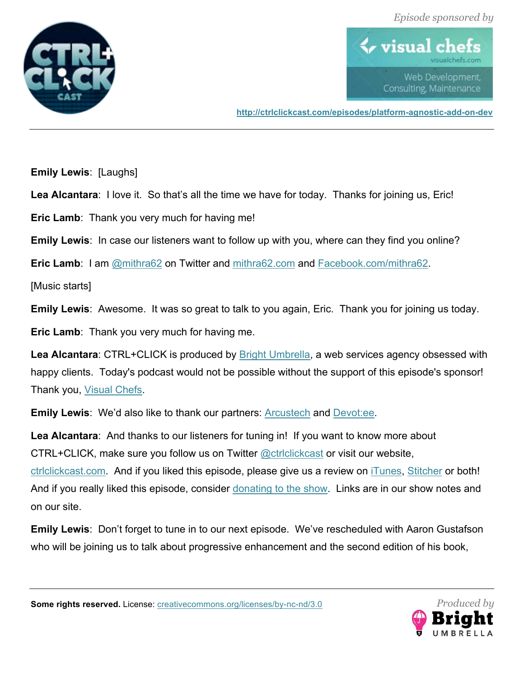



**http://ctrlclickcast.com/episodes/platform-agnostic-add-on-dev**

**Emily Lewis**: [Laughs]

Lea Alcantara: I love it. So that's all the time we have for today. Thanks for joining us, Eric!

**Eric Lamb**: Thank you very much for having me!

**Emily Lewis**: In case our listeners want to follow up with you, where can they find you online?

**Eric Lamb:** I am @mithra62 on Twitter and mithra62.com and Facebook.com/mithra62.

[Music starts]

**Emily Lewis**: Awesome. It was so great to talk to you again, Eric. Thank you for joining us today.

**Eric Lamb**: Thank you very much for having me.

**Lea Alcantara**: CTRL+CLICK is produced by Bright Umbrella, a web services agency obsessed with happy clients. Today's podcast would not be possible without the support of this episode's sponsor! Thank you, Visual Chefs.

**Emily Lewis:** We'd also like to thank our partners: **Arcustech and Devotiee**.

**Lea Alcantara**: And thanks to our listeners for tuning in! If you want to know more about CTRL+CLICK, make sure you follow us on Twitter @ctrlclickcast or visit our website, ctrlclickcast.com. And if you liked this episode, please give us a review on iTunes, Stitcher or both! And if you really liked this episode, consider donating to the show. Links are in our show notes and on our site.

**Emily Lewis**: Don't forget to tune in to our next episode. We've rescheduled with Aaron Gustafson who will be joining us to talk about progressive enhancement and the second edition of his book,